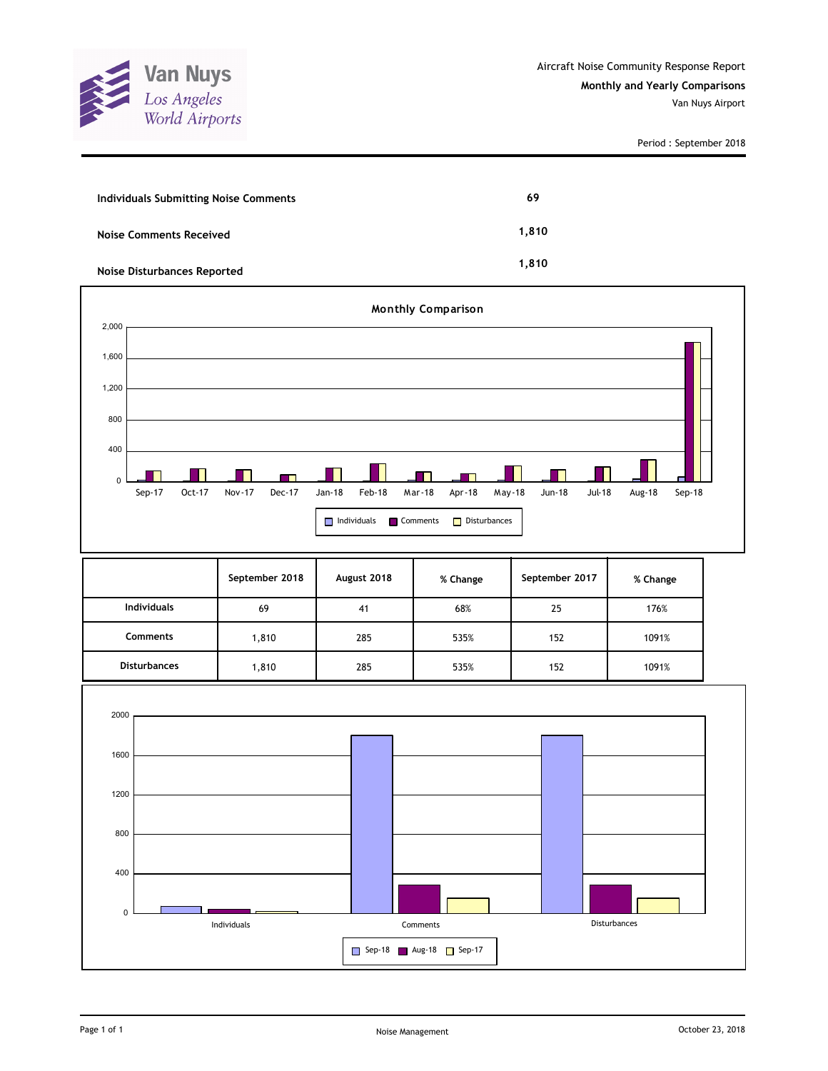

Period : September 2018

| <b>Individuals Submitting Noise Comments</b> | 69    |
|----------------------------------------------|-------|
| <b>Noise Comments Received</b>               | 1,810 |
| <b>Noise Disturbances Reported</b>           | 1.810 |



|                     | September 2018 | August 2018 | % Change | September 2017 | % Change |
|---------------------|----------------|-------------|----------|----------------|----------|
| <b>Individuals</b>  | 69             | 41          | 68%      | 25             | 176%     |
| <b>Comments</b>     | 1,810          | 285         | 535%     | 152            | 1091%    |
| <b>Disturbances</b> | 1,810          | 285         | 535%     | 152            | 1091%    |

![](_page_0_Figure_6.jpeg)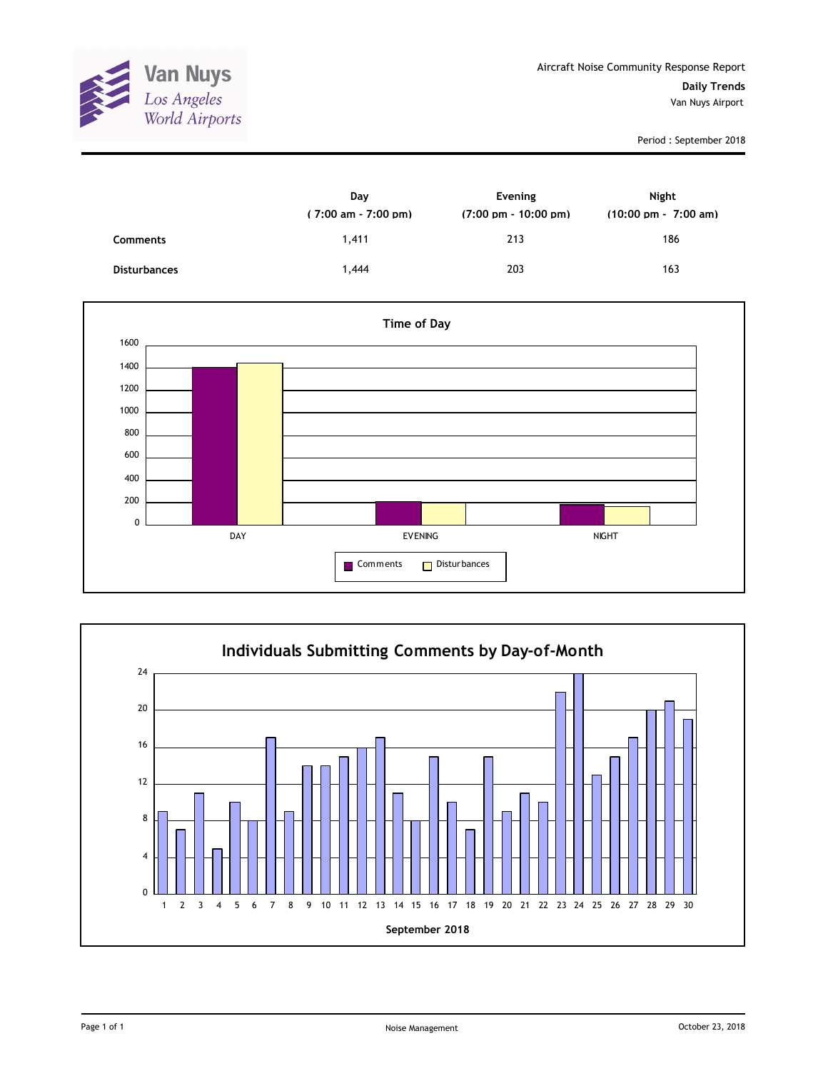![](_page_1_Picture_0.jpeg)

Period : September 2018

|                     | Day<br>$(7:00 \text{ am} - 7:00 \text{ pm})$ | Evening<br>$(7:00 \text{ pm} - 10:00 \text{ pm})$ | <b>Night</b><br>$(10:00 \text{ pm} - 7:00 \text{ am})$ |
|---------------------|----------------------------------------------|---------------------------------------------------|--------------------------------------------------------|
| <b>Comments</b>     | 1,411                                        | 213                                               | 186                                                    |
| <b>Disturbances</b> | 1,444                                        | 203                                               | 163                                                    |

![](_page_1_Figure_4.jpeg)

![](_page_1_Figure_5.jpeg)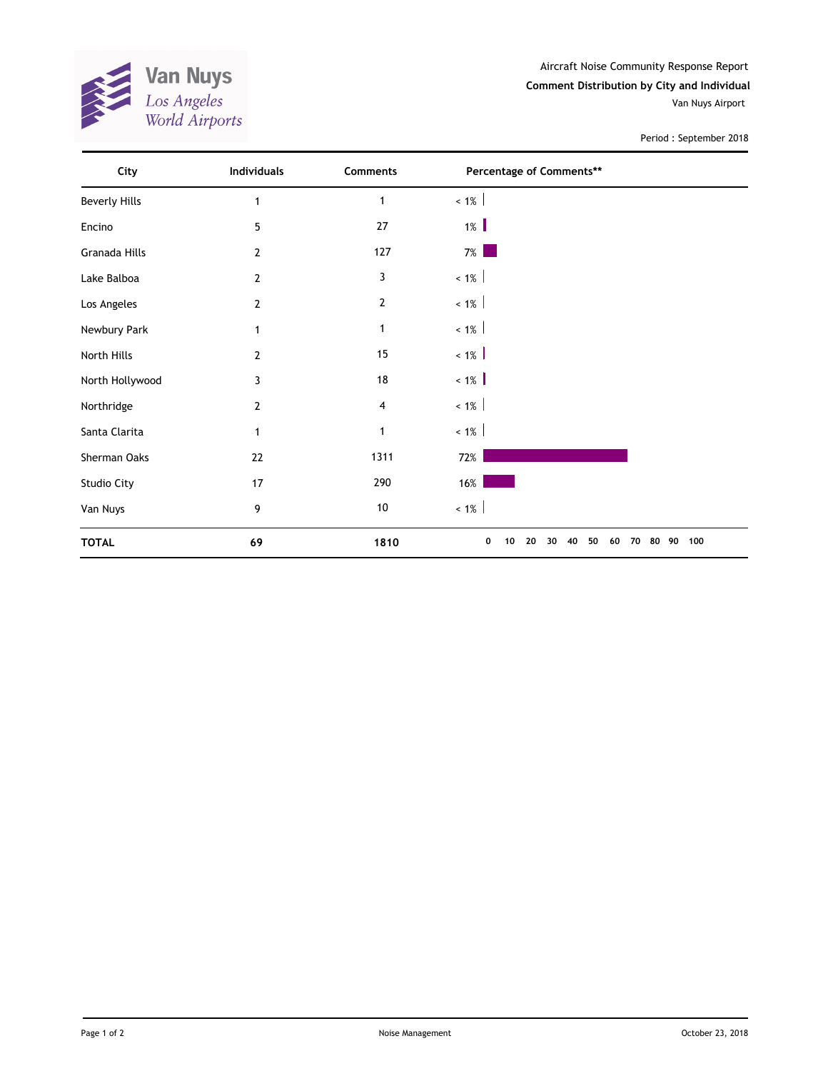![](_page_2_Picture_0.jpeg)

Aircraft Noise Community Response Report **Comment Distribution by City and Individual** Van Nuys Airport

Period : September 2018

| City                 | Individuals    | Comments       | Percentage of Comments**                                    |  |
|----------------------|----------------|----------------|-------------------------------------------------------------|--|
| <b>Beverly Hills</b> | 1              | $\mathbf{1}$   | $< 1\%$                                                     |  |
| Encino               | 5              | 27             | $1\%$                                                       |  |
| Granada Hills        | $\overline{2}$ | 127            | $7\%$                                                       |  |
| Lake Balboa          | $\overline{2}$ | 3              | $< 1\%$                                                     |  |
| Los Angeles          | $\overline{2}$ | $\overline{2}$ | $< 1\%$                                                     |  |
| Newbury Park         | 1              | $\mathbf 1$    | $~1\%$                                                      |  |
| North Hills          | 2              | 15             | $~1\%$                                                      |  |
| North Hollywood      | 3              | 18             | $< 1\%$                                                     |  |
| Northridge           | $\overline{2}$ | 4              | $~1\%$                                                      |  |
| Santa Clarita        | 1              | $\mathbf{1}$   | $~1\%$                                                      |  |
| Sherman Oaks         | 22             | 1311           | 72%                                                         |  |
| Studio City          | 17             | 290            | $16\%$                                                      |  |
| Van Nuys             | 9              | $10\,$         | $~1\%$                                                      |  |
| <b>TOTAL</b>         | 69             | 1810           | 90 100<br>0<br>50<br>10<br>20<br>30<br>40<br>60<br>70<br>80 |  |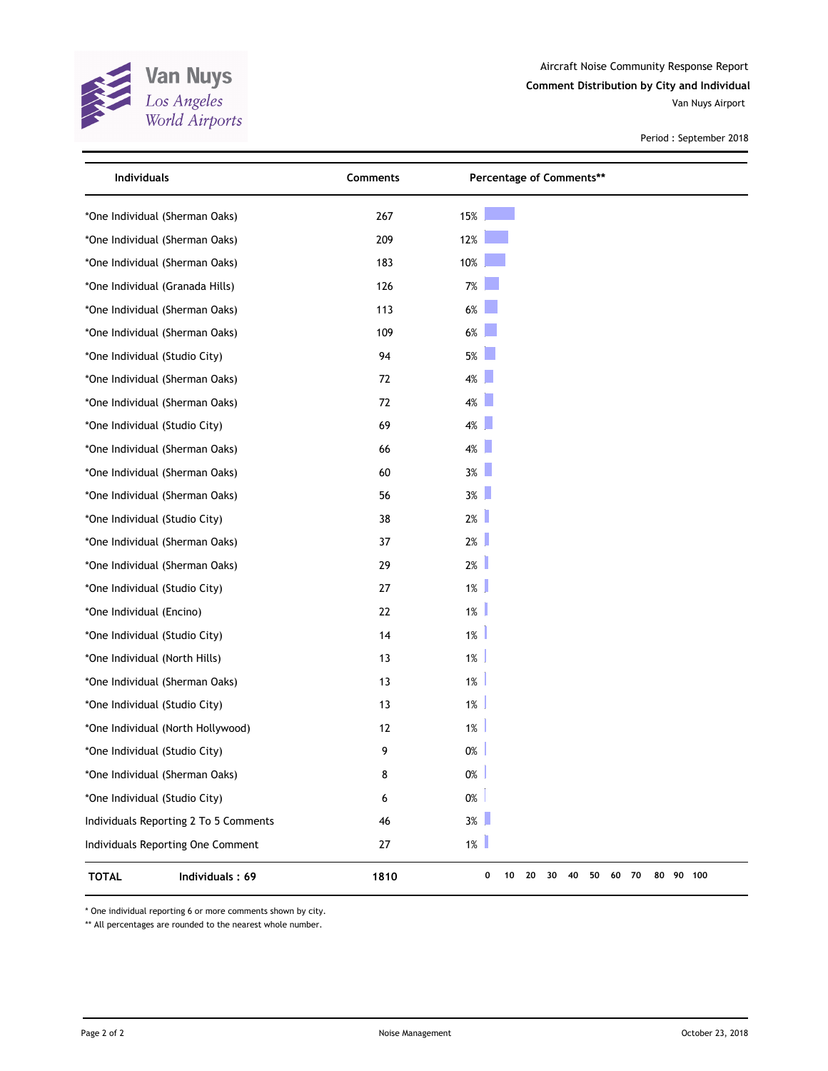![](_page_3_Picture_0.jpeg)

Aircraft Noise Community Response Report **Comment Distribution by City and Individual**

Van Nuys Airport

Period : September 2018

| Individuals                           | Comments | Percentage of Comments**                           |  |
|---------------------------------------|----------|----------------------------------------------------|--|
| *One Individual (Sherman Oaks)        | 267      | 15%                                                |  |
| *One Individual (Sherman Oaks)        | 209      | 12%                                                |  |
| *One Individual (Sherman Oaks)        | 183      | 10%                                                |  |
| *One Individual (Granada Hills)       | 126      | 7%                                                 |  |
| *One Individual (Sherman Oaks)        | 113      | $6\%$                                              |  |
| *One Individual (Sherman Oaks)        | 109      | $6\%$                                              |  |
| *One Individual (Studio City)         | 94       | $5%$                                               |  |
| *One Individual (Sherman Oaks)        | 72       | 4%                                                 |  |
| *One Individual (Sherman Oaks)        | 72       | 4%                                                 |  |
| *One Individual (Studio City)         | 69       | 4%                                                 |  |
| *One Individual (Sherman Oaks)        | 66       | 4%                                                 |  |
| *One Individual (Sherman Oaks)        | 60       | 3%                                                 |  |
| *One Individual (Sherman Oaks)        | 56       | 3%                                                 |  |
| *One Individual (Studio City)         | 38       | $2\%$                                              |  |
| *One Individual (Sherman Oaks)        | 37       | 2%                                                 |  |
| *One Individual (Sherman Oaks)        | 29       | 2%                                                 |  |
| *One Individual (Studio City)         | 27       | $1\%$                                              |  |
| *One Individual (Encino)              | 22       | $1\%$                                              |  |
| *One Individual (Studio City)         | 14       | 1%                                                 |  |
| *One Individual (North Hills)         | 13       | 1%                                                 |  |
| *One Individual (Sherman Oaks)        | 13       | 1%                                                 |  |
| *One Individual (Studio City)         | 13       | 1%                                                 |  |
| *One Individual (North Hollywood)     | 12       | 1%                                                 |  |
| *One Individual (Studio City)         | 9        | $0\%$                                              |  |
| *One Individual (Sherman Oaks)        | 8        | $0\%$                                              |  |
| *One Individual (Studio City)         | 6        | $0\%$                                              |  |
| Individuals Reporting 2 To 5 Comments | 46       | 3%                                                 |  |
| Individuals Reporting One Comment     | 27       | $1\%$                                              |  |
| <b>TOTAL</b><br>Individuals: 69       | 1810     | 0<br>30 40<br>50<br>60 70<br>80 90 100<br>10<br>20 |  |

\* One individual reporting 6 or more comments shown by city.

\*\* All percentages are rounded to the nearest whole number.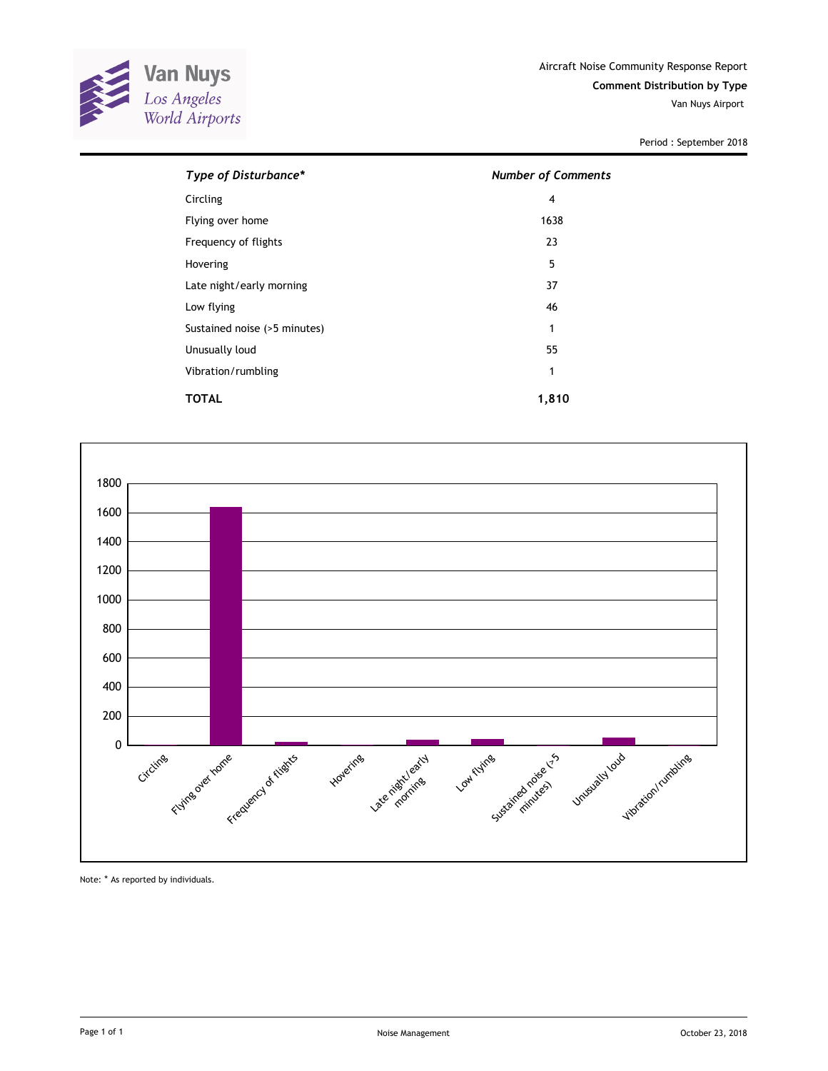![](_page_4_Picture_0.jpeg)

Van Nuys Airport

Period : September 2018

| Type of Disturbance*         | <b>Number of Comments</b> |
|------------------------------|---------------------------|
| Circling                     | 4                         |
| Flying over home             | 1638                      |
| Frequency of flights         | 23                        |
| Hovering                     | 5                         |
| Late night/early morning     | 37                        |
| Low flying                   | 46                        |
| Sustained noise (>5 minutes) | 1                         |
| Unusually loud               | 55                        |
| Vibration/rumbling           | 1                         |
| TOTAL                        | 1,810                     |

![](_page_4_Figure_5.jpeg)

Note: \* As reported by individuals.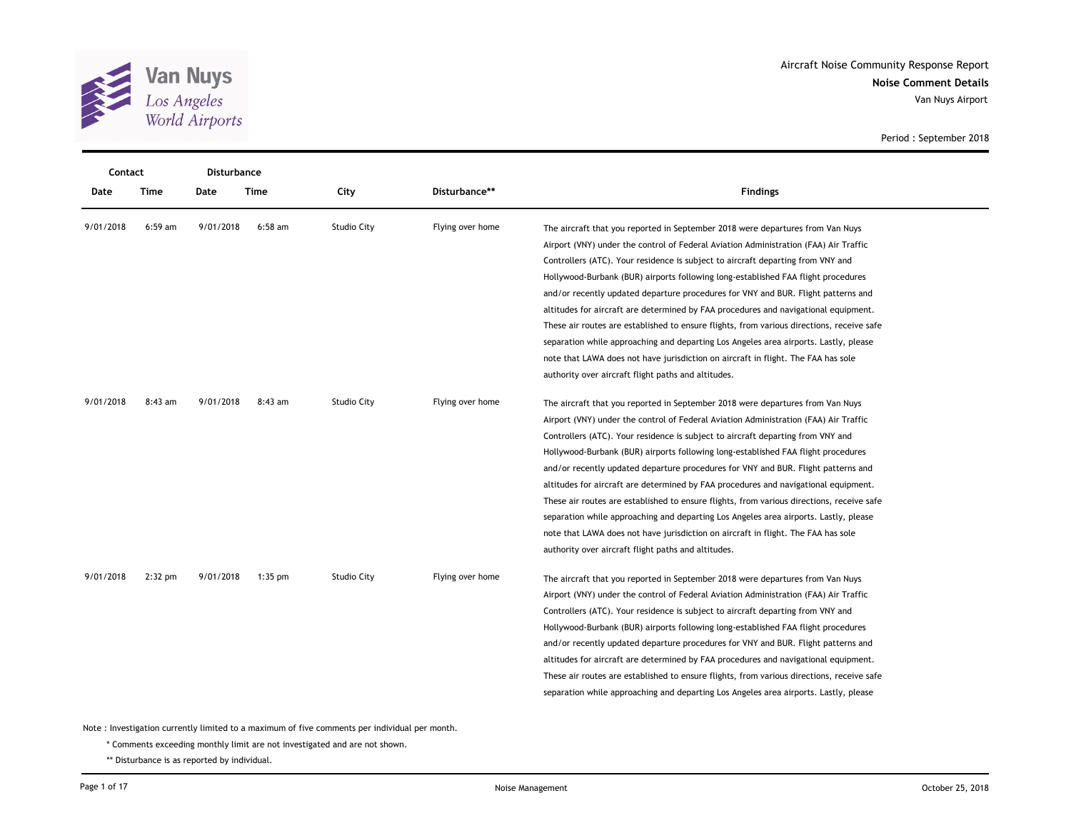![](_page_5_Picture_0.jpeg)

|           | Contact<br>Disturbance |           |           |                    |                  |                                                                                           |
|-----------|------------------------|-----------|-----------|--------------------|------------------|-------------------------------------------------------------------------------------------|
| Date      | Time                   | Date      | Time      | City               | Disturbance**    | <b>Findings</b>                                                                           |
| 9/01/2018 | $6:59$ am              | 9/01/2018 | $6:58$ am | Studio City        | Flying over home | The aircraft that you reported in September 2018 were departures from Van Nuys            |
|           |                        |           |           |                    |                  | Airport (VNY) under the control of Federal Aviation Administration (FAA) Air Traffic      |
|           |                        |           |           |                    |                  | Controllers (ATC). Your residence is subject to aircraft departing from VNY and           |
|           |                        |           |           |                    |                  | Hollywood-Burbank (BUR) airports following long-established FAA flight procedures         |
|           |                        |           |           |                    |                  | and/or recently updated departure procedures for VNY and BUR. Flight patterns and         |
|           |                        |           |           |                    |                  | altitudes for aircraft are determined by FAA procedures and navigational equipment.       |
|           |                        |           |           |                    |                  | These air routes are established to ensure flights, from various directions, receive safe |
|           |                        |           |           |                    |                  | separation while approaching and departing Los Angeles area airports. Lastly, please      |
|           |                        |           |           |                    |                  | note that LAWA does not have jurisdiction on aircraft in flight. The FAA has sole         |
|           |                        |           |           |                    |                  | authority over aircraft flight paths and altitudes.                                       |
| 9/01/2018 | $8:43$ am              | 9/01/2018 | 8:43 am   | <b>Studio City</b> | Flying over home | The aircraft that you reported in September 2018 were departures from Van Nuys            |
|           |                        |           |           |                    |                  | Airport (VNY) under the control of Federal Aviation Administration (FAA) Air Traffic      |
|           |                        |           |           |                    |                  | Controllers (ATC). Your residence is subject to aircraft departing from VNY and           |
|           |                        |           |           |                    |                  | Hollywood-Burbank (BUR) airports following long-established FAA flight procedures         |
|           |                        |           |           |                    |                  | and/or recently updated departure procedures for VNY and BUR. Flight patterns and         |
|           |                        |           |           |                    |                  | altitudes for aircraft are determined by FAA procedures and navigational equipment.       |
|           |                        |           |           |                    |                  | These air routes are established to ensure flights, from various directions, receive safe |
|           |                        |           |           |                    |                  | separation while approaching and departing Los Angeles area airports. Lastly, please      |
|           |                        |           |           |                    |                  | note that LAWA does not have jurisdiction on aircraft in flight. The FAA has sole         |
|           |                        |           |           |                    |                  | authority over aircraft flight paths and altitudes.                                       |
| 9/01/2018 | $2:32$ pm              | 9/01/2018 | $1:35$ pm | Studio City        | Flying over home | The aircraft that you reported in September 2018 were departures from Van Nuys            |
|           |                        |           |           |                    |                  | Airport (VNY) under the control of Federal Aviation Administration (FAA) Air Traffic      |
|           |                        |           |           |                    |                  | Controllers (ATC). Your residence is subject to aircraft departing from VNY and           |
|           |                        |           |           |                    |                  | Hollywood-Burbank (BUR) airports following long-established FAA flight procedures         |
|           |                        |           |           |                    |                  | and/or recently updated departure procedures for VNY and BUR. Flight patterns and         |
|           |                        |           |           |                    |                  | altitudes for aircraft are determined by FAA procedures and navigational equipment.       |
|           |                        |           |           |                    |                  | These air routes are established to ensure flights, from various directions, receive safe |
|           |                        |           |           |                    |                  | separation while approaching and departing Los Angeles area airports. Lastly, please      |
|           |                        |           |           |                    |                  |                                                                                           |

\* Comments exceeding monthly limit are not investigated and are not shown.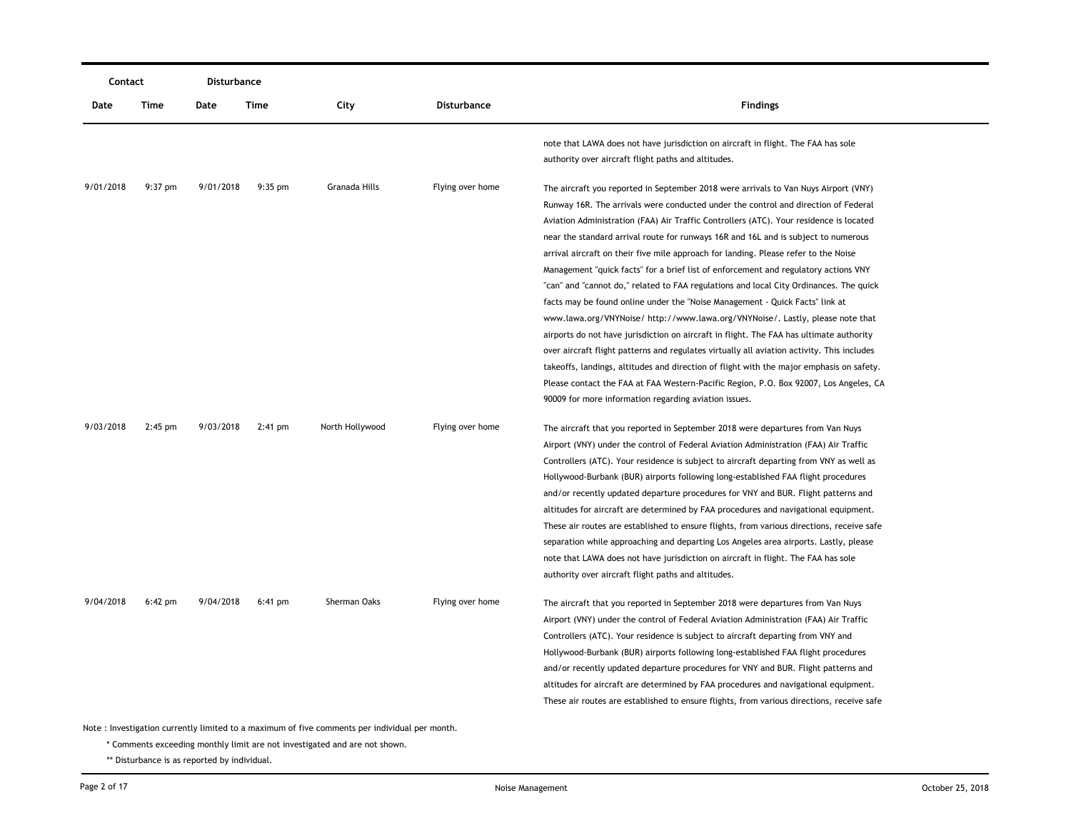| Contact   |           | Disturbance |                   |                 |                    |                                                                                                                                                                                                                                                                                                                                                                                                                                                                                                                                                                                                                                                                                                                                                                                                                                                                                                                                                                                                                                                                                                                                                                                                                                            |  |  |
|-----------|-----------|-------------|-------------------|-----------------|--------------------|--------------------------------------------------------------------------------------------------------------------------------------------------------------------------------------------------------------------------------------------------------------------------------------------------------------------------------------------------------------------------------------------------------------------------------------------------------------------------------------------------------------------------------------------------------------------------------------------------------------------------------------------------------------------------------------------------------------------------------------------------------------------------------------------------------------------------------------------------------------------------------------------------------------------------------------------------------------------------------------------------------------------------------------------------------------------------------------------------------------------------------------------------------------------------------------------------------------------------------------------|--|--|
| Date      | Time      | Date        | Time              | City            | <b>Disturbance</b> | <b>Findings</b>                                                                                                                                                                                                                                                                                                                                                                                                                                                                                                                                                                                                                                                                                                                                                                                                                                                                                                                                                                                                                                                                                                                                                                                                                            |  |  |
|           |           |             |                   |                 |                    | note that LAWA does not have jurisdiction on aircraft in flight. The FAA has sole<br>authority over aircraft flight paths and altitudes.                                                                                                                                                                                                                                                                                                                                                                                                                                                                                                                                                                                                                                                                                                                                                                                                                                                                                                                                                                                                                                                                                                   |  |  |
| 9/01/2018 | $9:37$ pm | 9/01/2018   | $9:35 \text{ pm}$ | Granada Hills   | Flying over home   | The aircraft you reported in September 2018 were arrivals to Van Nuys Airport (VNY)<br>Runway 16R. The arrivals were conducted under the control and direction of Federal<br>Aviation Administration (FAA) Air Traffic Controllers (ATC). Your residence is located<br>near the standard arrival route for runways 16R and 16L and is subject to numerous<br>arrival aircraft on their five mile approach for landing. Please refer to the Noise<br>Management "quick facts" for a brief list of enforcement and regulatory actions VNY<br>"can" and "cannot do," related to FAA regulations and local City Ordinances. The quick<br>facts may be found online under the "Noise Management - Quick Facts" link at<br>www.lawa.org/VNYNoise/ http://www.lawa.org/VNYNoise/. Lastly, please note that<br>airports do not have jurisdiction on aircraft in flight. The FAA has ultimate authority<br>over aircraft flight patterns and regulates virtually all aviation activity. This includes<br>takeoffs, landings, altitudes and direction of flight with the major emphasis on safety.<br>Please contact the FAA at FAA Western-Pacific Region, P.O. Box 92007, Los Angeles, CA<br>90009 for more information regarding aviation issues. |  |  |
| 9/03/2018 | $2:45$ pm | 9/03/2018   | $2:41$ pm         | North Hollywood | Flying over home   | The aircraft that you reported in September 2018 were departures from Van Nuys<br>Airport (VNY) under the control of Federal Aviation Administration (FAA) Air Traffic<br>Controllers (ATC). Your residence is subject to aircraft departing from VNY as well as<br>Hollywood-Burbank (BUR) airports following long-established FAA flight procedures<br>and/or recently updated departure procedures for VNY and BUR. Flight patterns and<br>altitudes for aircraft are determined by FAA procedures and navigational equipment.<br>These air routes are established to ensure flights, from various directions, receive safe<br>separation while approaching and departing Los Angeles area airports. Lastly, please<br>note that LAWA does not have jurisdiction on aircraft in flight. The FAA has sole<br>authority over aircraft flight paths and altitudes.                                                                                                                                                                                                                                                                                                                                                                         |  |  |
| 9/04/2018 | $6:42$ pm | 9/04/2018   | $6:41$ pm         | Sherman Oaks    | Flying over home   | The aircraft that you reported in September 2018 were departures from Van Nuys<br>Airport (VNY) under the control of Federal Aviation Administration (FAA) Air Traffic<br>Controllers (ATC). Your residence is subject to aircraft departing from VNY and<br>Hollywood-Burbank (BUR) airports following long-established FAA flight procedures<br>and/or recently updated departure procedures for VNY and BUR. Flight patterns and<br>altitudes for aircraft are determined by FAA procedures and navigational equipment.<br>These air routes are established to ensure flights, from various directions, receive safe                                                                                                                                                                                                                                                                                                                                                                                                                                                                                                                                                                                                                    |  |  |

\* Comments exceeding monthly limit are not investigated and are not shown.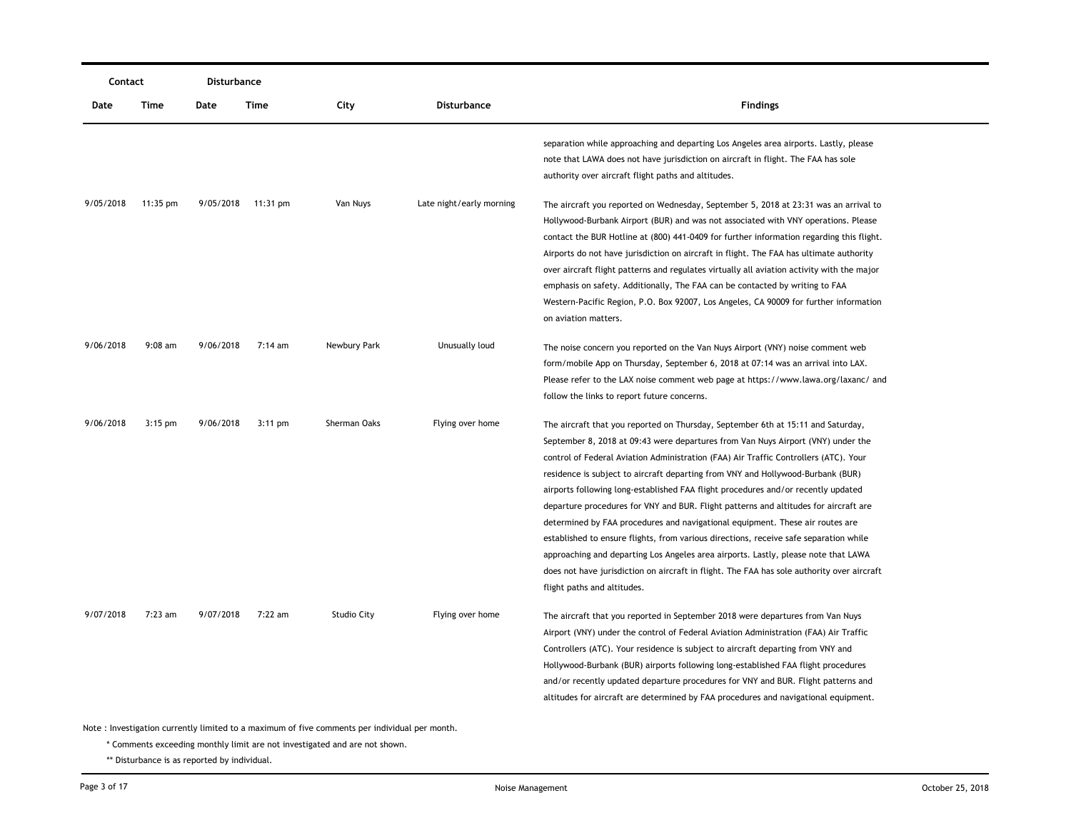| Contact   |            | Disturbance |                    |                    |                          |                                                                                                                                                                                                                                                                                                                                                                                                                                                                                                                                                                                                                                                                                                                                                                                                                                                                                                                           |  |  |
|-----------|------------|-------------|--------------------|--------------------|--------------------------|---------------------------------------------------------------------------------------------------------------------------------------------------------------------------------------------------------------------------------------------------------------------------------------------------------------------------------------------------------------------------------------------------------------------------------------------------------------------------------------------------------------------------------------------------------------------------------------------------------------------------------------------------------------------------------------------------------------------------------------------------------------------------------------------------------------------------------------------------------------------------------------------------------------------------|--|--|
| Date      | Time       | Date        | Time               | City               | Disturbance              | <b>Findings</b>                                                                                                                                                                                                                                                                                                                                                                                                                                                                                                                                                                                                                                                                                                                                                                                                                                                                                                           |  |  |
|           |            |             |                    |                    |                          | separation while approaching and departing Los Angeles area airports. Lastly, please<br>note that LAWA does not have jurisdiction on aircraft in flight. The FAA has sole<br>authority over aircraft flight paths and altitudes.                                                                                                                                                                                                                                                                                                                                                                                                                                                                                                                                                                                                                                                                                          |  |  |
| 9/05/2018 | $11:35$ pm |             | 9/05/2018 11:31 pm | Van Nuys           | Late night/early morning | The aircraft you reported on Wednesday, September 5, 2018 at 23:31 was an arrival to<br>Hollywood-Burbank Airport (BUR) and was not associated with VNY operations. Please<br>contact the BUR Hotline at (800) 441-0409 for further information regarding this flight.<br>Airports do not have jurisdiction on aircraft in flight. The FAA has ultimate authority<br>over aircraft flight patterns and regulates virtually all aviation activity with the major<br>emphasis on safety. Additionally, The FAA can be contacted by writing to FAA<br>Western-Pacific Region, P.O. Box 92007, Los Angeles, CA 90009 for further information<br>on aviation matters.                                                                                                                                                                                                                                                          |  |  |
| 9/06/2018 | $9:08$ am  | 9/06/2018   | 7:14 am            | Newbury Park       | Unusually loud           | The noise concern you reported on the Van Nuys Airport (VNY) noise comment web<br>form/mobile App on Thursday, September 6, 2018 at 07:14 was an arrival into LAX.<br>Please refer to the LAX noise comment web page at https://www.lawa.org/laxanc/ and<br>follow the links to report future concerns.                                                                                                                                                                                                                                                                                                                                                                                                                                                                                                                                                                                                                   |  |  |
| 9/06/2018 | $3:15$ pm  | 9/06/2018   | $3:11$ pm          | Sherman Oaks       | Flying over home         | The aircraft that you reported on Thursday, September 6th at 15:11 and Saturday,<br>September 8, 2018 at 09:43 were departures from Van Nuys Airport (VNY) under the<br>control of Federal Aviation Administration (FAA) Air Traffic Controllers (ATC). Your<br>residence is subject to aircraft departing from VNY and Hollywood-Burbank (BUR)<br>airports following long-established FAA flight procedures and/or recently updated<br>departure procedures for VNY and BUR. Flight patterns and altitudes for aircraft are<br>determined by FAA procedures and navigational equipment. These air routes are<br>established to ensure flights, from various directions, receive safe separation while<br>approaching and departing Los Angeles area airports. Lastly, please note that LAWA<br>does not have jurisdiction on aircraft in flight. The FAA has sole authority over aircraft<br>flight paths and altitudes. |  |  |
| 9/07/2018 | $7:23$ am  | 9/07/2018   | 7:22 am            | <b>Studio City</b> | Flying over home         | The aircraft that you reported in September 2018 were departures from Van Nuys<br>Airport (VNY) under the control of Federal Aviation Administration (FAA) Air Traffic<br>Controllers (ATC). Your residence is subject to aircraft departing from VNY and<br>Hollywood-Burbank (BUR) airports following long-established FAA flight procedures<br>and/or recently updated departure procedures for VNY and BUR. Flight patterns and<br>altitudes for aircraft are determined by FAA procedures and navigational equipment.                                                                                                                                                                                                                                                                                                                                                                                                |  |  |

\* Comments exceeding monthly limit are not investigated and are not shown.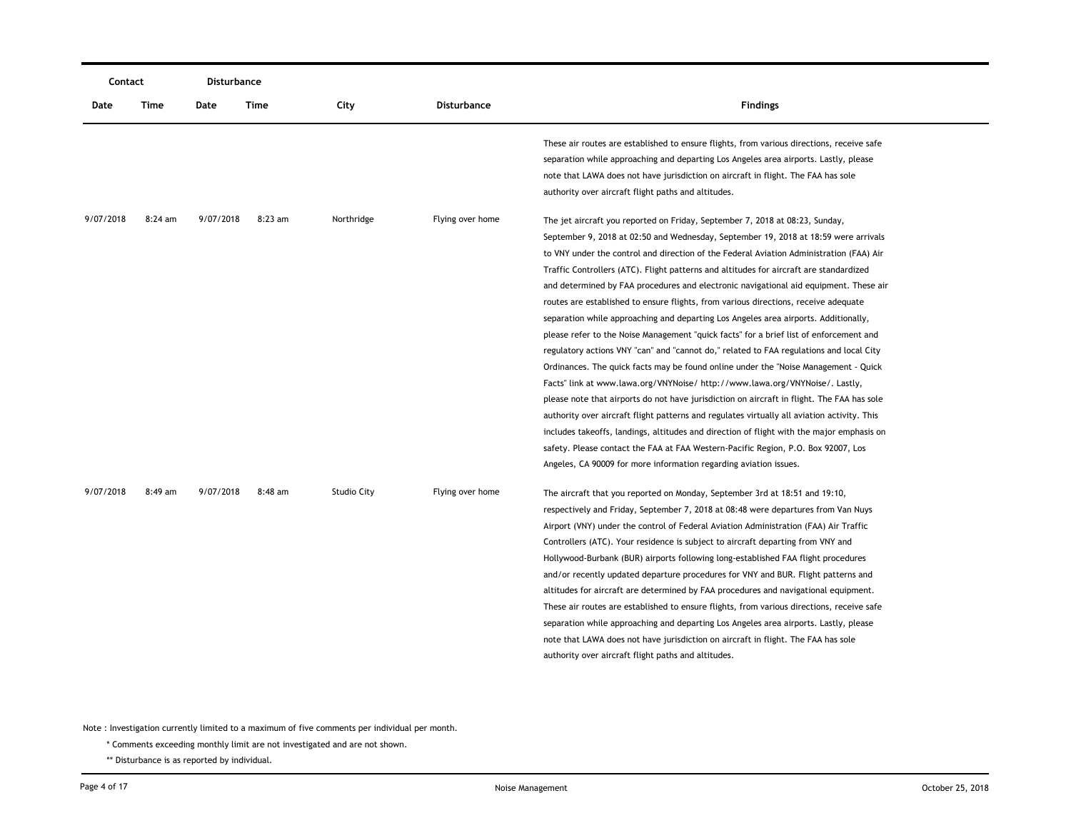|           | Contact   |           | Disturbance |                    |                  |                                                                                                                                                                                                                                                                                                                                                                                                                                                                                                                                                                                                                                                                                                                                                                                                                                                                                                                                                                                                                                                                                                                                                                                                                                                                                                                                                                                                                                                 |  |
|-----------|-----------|-----------|-------------|--------------------|------------------|-------------------------------------------------------------------------------------------------------------------------------------------------------------------------------------------------------------------------------------------------------------------------------------------------------------------------------------------------------------------------------------------------------------------------------------------------------------------------------------------------------------------------------------------------------------------------------------------------------------------------------------------------------------------------------------------------------------------------------------------------------------------------------------------------------------------------------------------------------------------------------------------------------------------------------------------------------------------------------------------------------------------------------------------------------------------------------------------------------------------------------------------------------------------------------------------------------------------------------------------------------------------------------------------------------------------------------------------------------------------------------------------------------------------------------------------------|--|
| Date      | Time      | Date      | <b>Time</b> | City               | Disturbance      | <b>Findings</b>                                                                                                                                                                                                                                                                                                                                                                                                                                                                                                                                                                                                                                                                                                                                                                                                                                                                                                                                                                                                                                                                                                                                                                                                                                                                                                                                                                                                                                 |  |
|           |           |           |             |                    |                  | These air routes are established to ensure flights, from various directions, receive safe<br>separation while approaching and departing Los Angeles area airports. Lastly, please<br>note that LAWA does not have jurisdiction on aircraft in flight. The FAA has sole<br>authority over aircraft flight paths and altitudes.                                                                                                                                                                                                                                                                                                                                                                                                                                                                                                                                                                                                                                                                                                                                                                                                                                                                                                                                                                                                                                                                                                                   |  |
| 9/07/2018 | 8:24 am   | 9/07/2018 | $8:23$ am   | Northridge         | Flying over home | The jet aircraft you reported on Friday, September 7, 2018 at 08:23, Sunday,<br>September 9, 2018 at 02:50 and Wednesday, September 19, 2018 at 18:59 were arrivals<br>to VNY under the control and direction of the Federal Aviation Administration (FAA) Air<br>Traffic Controllers (ATC). Flight patterns and altitudes for aircraft are standardized<br>and determined by FAA procedures and electronic navigational aid equipment. These air<br>routes are established to ensure flights, from various directions, receive adequate<br>separation while approaching and departing Los Angeles area airports. Additionally,<br>please refer to the Noise Management "quick facts" for a brief list of enforcement and<br>regulatory actions VNY "can" and "cannot do," related to FAA regulations and local City<br>Ordinances. The quick facts may be found online under the "Noise Management - Quick<br>Facts" link at www.lawa.org/VNYNoise/ http://www.lawa.org/VNYNoise/. Lastly,<br>please note that airports do not have jurisdiction on aircraft in flight. The FAA has sole<br>authority over aircraft flight patterns and regulates virtually all aviation activity. This<br>includes takeoffs, landings, altitudes and direction of flight with the major emphasis on<br>safety. Please contact the FAA at FAA Western-Pacific Region, P.O. Box 92007, Los<br>Angeles, CA 90009 for more information regarding aviation issues. |  |
| 9/07/2018 | $8:49$ am | 9/07/2018 | $8:48$ am   | <b>Studio City</b> | Flying over home | The aircraft that you reported on Monday, September 3rd at 18:51 and 19:10,<br>respectively and Friday, September 7, 2018 at 08:48 were departures from Van Nuys<br>Airport (VNY) under the control of Federal Aviation Administration (FAA) Air Traffic<br>Controllers (ATC). Your residence is subject to aircraft departing from VNY and<br>Hollywood-Burbank (BUR) airports following long-established FAA flight procedures<br>and/or recently updated departure procedures for VNY and BUR. Flight patterns and<br>altitudes for aircraft are determined by FAA procedures and navigational equipment.<br>These air routes are established to ensure flights, from various directions, receive safe<br>separation while approaching and departing Los Angeles area airports. Lastly, please<br>note that LAWA does not have jurisdiction on aircraft in flight. The FAA has sole<br>authority over aircraft flight paths and altitudes.                                                                                                                                                                                                                                                                                                                                                                                                                                                                                                   |  |

\* Comments exceeding monthly limit are not investigated and are not shown.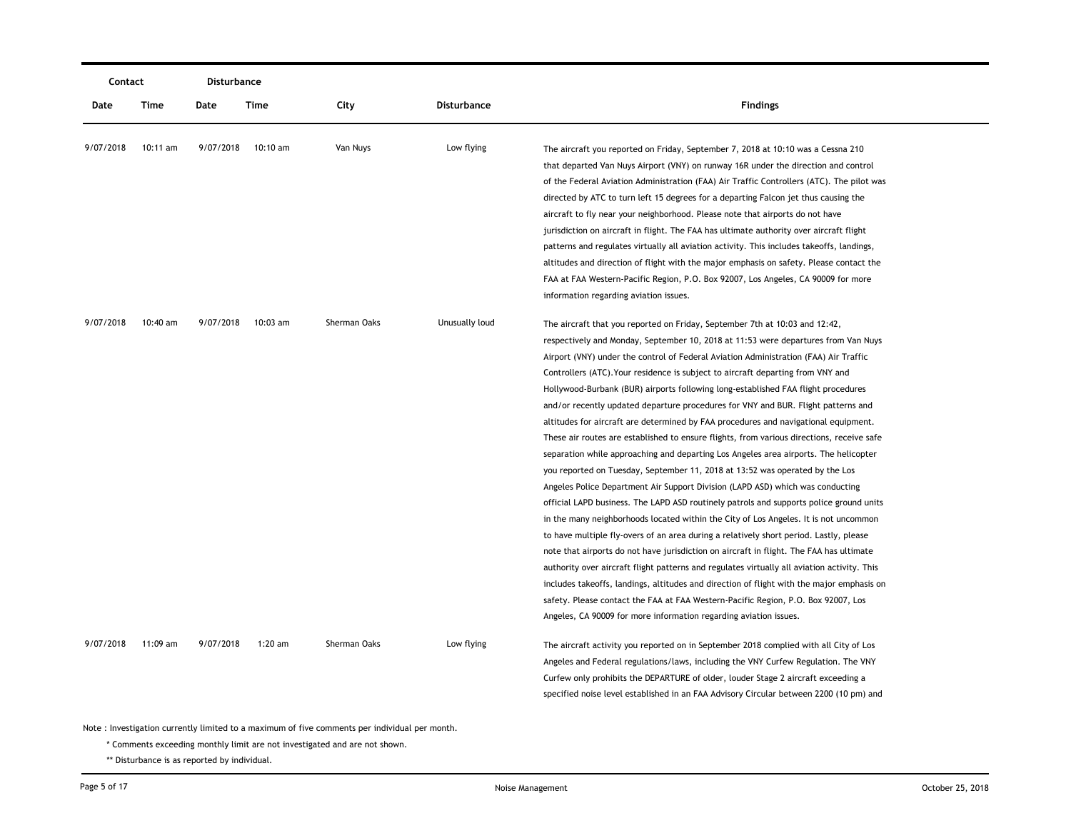|           | Contact  |           | Disturbance |              |                    |                                                                                                                                                                                                                                                                                                                                                                                                                                                                                                                                                                                                                                                                                                                                                                                                                                                                                                                                                                                                                                                                                                                                                                                                                                                                                                                                                                                                                                                                                                                                                                                                                                                                                                    |  |
|-----------|----------|-----------|-------------|--------------|--------------------|----------------------------------------------------------------------------------------------------------------------------------------------------------------------------------------------------------------------------------------------------------------------------------------------------------------------------------------------------------------------------------------------------------------------------------------------------------------------------------------------------------------------------------------------------------------------------------------------------------------------------------------------------------------------------------------------------------------------------------------------------------------------------------------------------------------------------------------------------------------------------------------------------------------------------------------------------------------------------------------------------------------------------------------------------------------------------------------------------------------------------------------------------------------------------------------------------------------------------------------------------------------------------------------------------------------------------------------------------------------------------------------------------------------------------------------------------------------------------------------------------------------------------------------------------------------------------------------------------------------------------------------------------------------------------------------------------|--|
| Date      | Time     | Date      | Time        | City         | <b>Disturbance</b> | <b>Findings</b>                                                                                                                                                                                                                                                                                                                                                                                                                                                                                                                                                                                                                                                                                                                                                                                                                                                                                                                                                                                                                                                                                                                                                                                                                                                                                                                                                                                                                                                                                                                                                                                                                                                                                    |  |
| 9/07/2018 | 10:11 am | 9/07/2018 | 10:10 am    | Van Nuys     | Low flying         | The aircraft you reported on Friday, September 7, 2018 at 10:10 was a Cessna 210<br>that departed Van Nuys Airport (VNY) on runway 16R under the direction and control<br>of the Federal Aviation Administration (FAA) Air Traffic Controllers (ATC). The pilot was<br>directed by ATC to turn left 15 degrees for a departing Falcon jet thus causing the<br>aircraft to fly near your neighborhood. Please note that airports do not have<br>jurisdiction on aircraft in flight. The FAA has ultimate authority over aircraft flight<br>patterns and regulates virtually all aviation activity. This includes takeoffs, landings,<br>altitudes and direction of flight with the major emphasis on safety. Please contact the<br>FAA at FAA Western-Pacific Region, P.O. Box 92007, Los Angeles, CA 90009 for more<br>information regarding aviation issues.                                                                                                                                                                                                                                                                                                                                                                                                                                                                                                                                                                                                                                                                                                                                                                                                                                      |  |
| 9/07/2018 | 10:40 am | 9/07/2018 | $10:03$ am  | Sherman Oaks | Unusually loud     | The aircraft that you reported on Friday, September 7th at 10:03 and 12:42,<br>respectively and Monday, September 10, 2018 at 11:53 were departures from Van Nuys<br>Airport (VNY) under the control of Federal Aviation Administration (FAA) Air Traffic<br>Controllers (ATC). Your residence is subject to aircraft departing from VNY and<br>Hollywood-Burbank (BUR) airports following long-established FAA flight procedures<br>and/or recently updated departure procedures for VNY and BUR. Flight patterns and<br>altitudes for aircraft are determined by FAA procedures and navigational equipment.<br>These air routes are established to ensure flights, from various directions, receive safe<br>separation while approaching and departing Los Angeles area airports. The helicopter<br>you reported on Tuesday, September 11, 2018 at 13:52 was operated by the Los<br>Angeles Police Department Air Support Division (LAPD ASD) which was conducting<br>official LAPD business. The LAPD ASD routinely patrols and supports police ground units<br>in the many neighborhoods located within the City of Los Angeles. It is not uncommon<br>to have multiple fly-overs of an area during a relatively short period. Lastly, please<br>note that airports do not have jurisdiction on aircraft in flight. The FAA has ultimate<br>authority over aircraft flight patterns and regulates virtually all aviation activity. This<br>includes takeoffs, landings, altitudes and direction of flight with the major emphasis on<br>safety. Please contact the FAA at FAA Western-Pacific Region, P.O. Box 92007, Los<br>Angeles, CA 90009 for more information regarding aviation issues. |  |
| 9/07/2018 | 11:09 am | 9/07/2018 | $1:20$ am   | Sherman Oaks | Low flying         | The aircraft activity you reported on in September 2018 complied with all City of Los<br>Angeles and Federal regulations/laws, including the VNY Curfew Regulation. The VNY<br>Curfew only prohibits the DEPARTURE of older, louder Stage 2 aircraft exceeding a<br>specified noise level established in an FAA Advisory Circular between 2200 (10 pm) and                                                                                                                                                                                                                                                                                                                                                                                                                                                                                                                                                                                                                                                                                                                                                                                                                                                                                                                                                                                                                                                                                                                                                                                                                                                                                                                                         |  |

\* Comments exceeding monthly limit are not investigated and are not shown.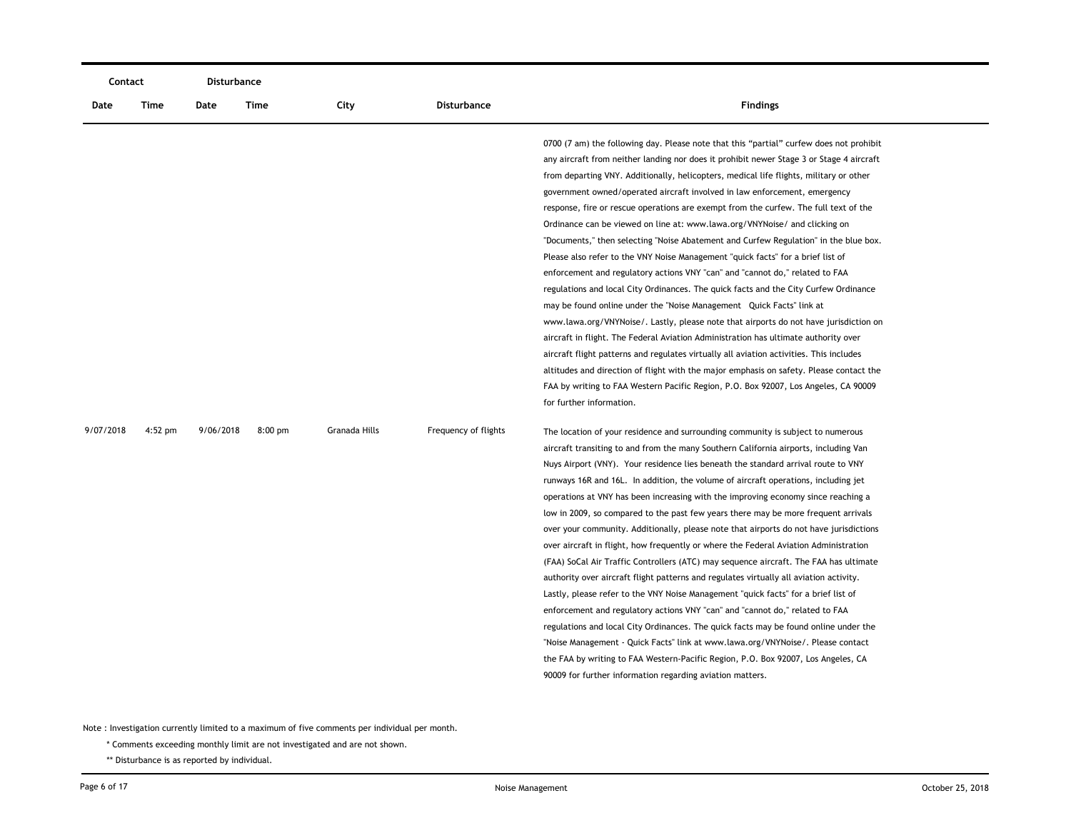| Contact   |           |           | Disturbance |               |                      |                                                                                                                                                                                                                                                                                                                                                                                                                                                                                                                                                                                                                                                                                                                                                                                                                                                                                                                                                                                                                                                                                                                                                                                                                                                                                                                                                                                                                                                                                                                                                                                                                                                                                                                                                                                                                                                                                                                                                                                                                                                                                                                                                                                                                                                                                                                                                                                                                                                                                                                                                                                                                                                                                                             |
|-----------|-----------|-----------|-------------|---------------|----------------------|-------------------------------------------------------------------------------------------------------------------------------------------------------------------------------------------------------------------------------------------------------------------------------------------------------------------------------------------------------------------------------------------------------------------------------------------------------------------------------------------------------------------------------------------------------------------------------------------------------------------------------------------------------------------------------------------------------------------------------------------------------------------------------------------------------------------------------------------------------------------------------------------------------------------------------------------------------------------------------------------------------------------------------------------------------------------------------------------------------------------------------------------------------------------------------------------------------------------------------------------------------------------------------------------------------------------------------------------------------------------------------------------------------------------------------------------------------------------------------------------------------------------------------------------------------------------------------------------------------------------------------------------------------------------------------------------------------------------------------------------------------------------------------------------------------------------------------------------------------------------------------------------------------------------------------------------------------------------------------------------------------------------------------------------------------------------------------------------------------------------------------------------------------------------------------------------------------------------------------------------------------------------------------------------------------------------------------------------------------------------------------------------------------------------------------------------------------------------------------------------------------------------------------------------------------------------------------------------------------------------------------------------------------------------------------------------------------------|
| Date      | Time      | Date      | Time        | City          | <b>Disturbance</b>   | <b>Findings</b>                                                                                                                                                                                                                                                                                                                                                                                                                                                                                                                                                                                                                                                                                                                                                                                                                                                                                                                                                                                                                                                                                                                                                                                                                                                                                                                                                                                                                                                                                                                                                                                                                                                                                                                                                                                                                                                                                                                                                                                                                                                                                                                                                                                                                                                                                                                                                                                                                                                                                                                                                                                                                                                                                             |
| 9/07/2018 | $4:52$ pm | 9/06/2018 | $8:00$ pm   | Granada Hills | Frequency of flights | 0700 (7 am) the following day. Please note that this "partial" curfew does not prohibit<br>any aircraft from neither landing nor does it prohibit newer Stage 3 or Stage 4 aircraft<br>from departing VNY. Additionally, helicopters, medical life flights, military or other<br>government owned/operated aircraft involved in law enforcement, emergency<br>response, fire or rescue operations are exempt from the curfew. The full text of the<br>Ordinance can be viewed on line at: www.lawa.org/VNYNoise/ and clicking on<br>"Documents," then selecting "Noise Abatement and Curfew Regulation" in the blue box.<br>Please also refer to the VNY Noise Management "quick facts" for a brief list of<br>enforcement and regulatory actions VNY "can" and "cannot do," related to FAA<br>regulations and local City Ordinances. The quick facts and the City Curfew Ordinance<br>may be found online under the "Noise Management Quick Facts" link at<br>www.lawa.org/VNYNoise/. Lastly, please note that airports do not have jurisdiction on<br>aircraft in flight. The Federal Aviation Administration has ultimate authority over<br>aircraft flight patterns and regulates virtually all aviation activities. This includes<br>altitudes and direction of flight with the major emphasis on safety. Please contact the<br>FAA by writing to FAA Western Pacific Region, P.O. Box 92007, Los Angeles, CA 90009<br>for further information.<br>The location of your residence and surrounding community is subject to numerous<br>aircraft transiting to and from the many Southern California airports, including Van<br>Nuys Airport (VNY). Your residence lies beneath the standard arrival route to VNY<br>runways 16R and 16L. In addition, the volume of aircraft operations, including jet<br>operations at VNY has been increasing with the improving economy since reaching a<br>low in 2009, so compared to the past few years there may be more frequent arrivals<br>over your community. Additionally, please note that airports do not have jurisdictions<br>over aircraft in flight, how frequently or where the Federal Aviation Administration<br>(FAA) SoCal Air Traffic Controllers (ATC) may sequence aircraft. The FAA has ultimate<br>authority over aircraft flight patterns and regulates virtually all aviation activity.<br>Lastly, please refer to the VNY Noise Management "quick facts" for a brief list of<br>enforcement and regulatory actions VNY "can" and "cannot do," related to FAA<br>regulations and local City Ordinances. The quick facts may be found online under the<br>"Noise Management - Quick Facts" link at www.lawa.org/VNYNoise/. Please contact |
|           |           |           |             |               |                      | the FAA by writing to FAA Western-Pacific Region, P.O. Box 92007, Los Angeles, CA<br>90009 for further information regarding aviation matters.                                                                                                                                                                                                                                                                                                                                                                                                                                                                                                                                                                                                                                                                                                                                                                                                                                                                                                                                                                                                                                                                                                                                                                                                                                                                                                                                                                                                                                                                                                                                                                                                                                                                                                                                                                                                                                                                                                                                                                                                                                                                                                                                                                                                                                                                                                                                                                                                                                                                                                                                                              |
|           |           |           |             |               |                      |                                                                                                                                                                                                                                                                                                                                                                                                                                                                                                                                                                                                                                                                                                                                                                                                                                                                                                                                                                                                                                                                                                                                                                                                                                                                                                                                                                                                                                                                                                                                                                                                                                                                                                                                                                                                                                                                                                                                                                                                                                                                                                                                                                                                                                                                                                                                                                                                                                                                                                                                                                                                                                                                                                             |

\* Comments exceeding monthly limit are not investigated and are not shown.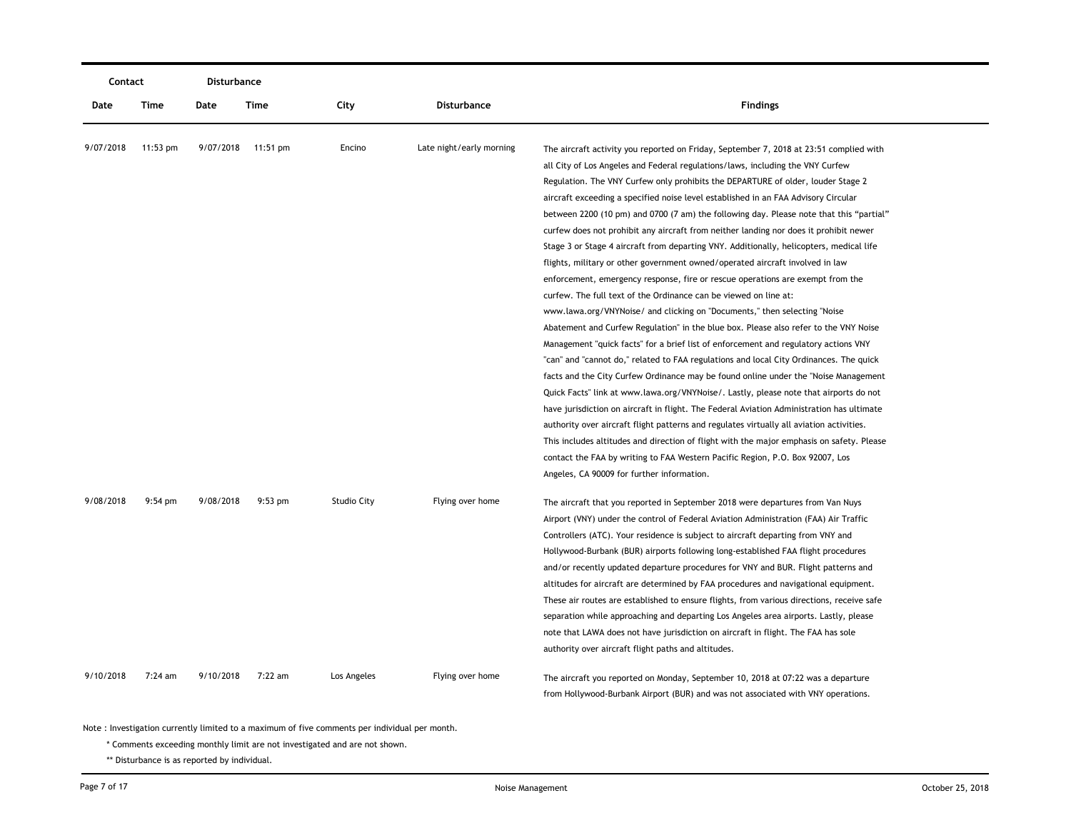| Contact   |            | Disturbance |                    |                    |                          |                                                                                           |  |
|-----------|------------|-------------|--------------------|--------------------|--------------------------|-------------------------------------------------------------------------------------------|--|
| Date      | Time       | Date        | Time               | City               | <b>Disturbance</b>       | <b>Findings</b>                                                                           |  |
| 9/07/2018 | $11:53$ pm |             | 9/07/2018 11:51 pm | Encino             | Late night/early morning | The aircraft activity you reported on Friday, September 7, 2018 at 23:51 complied with    |  |
|           |            |             |                    |                    |                          | all City of Los Angeles and Federal regulations/laws, including the VNY Curfew            |  |
|           |            |             |                    |                    |                          | Regulation. The VNY Curfew only prohibits the DEPARTURE of older, louder Stage 2          |  |
|           |            |             |                    |                    |                          | aircraft exceeding a specified noise level established in an FAA Advisory Circular        |  |
|           |            |             |                    |                    |                          | between 2200 (10 pm) and 0700 (7 am) the following day. Please note that this "partial"   |  |
|           |            |             |                    |                    |                          | curfew does not prohibit any aircraft from neither landing nor does it prohibit newer     |  |
|           |            |             |                    |                    |                          | Stage 3 or Stage 4 aircraft from departing VNY. Additionally, helicopters, medical life   |  |
|           |            |             |                    |                    |                          | flights, military or other government owned/operated aircraft involved in law             |  |
|           |            |             |                    |                    |                          | enforcement, emergency response, fire or rescue operations are exempt from the            |  |
|           |            |             |                    |                    |                          | curfew. The full text of the Ordinance can be viewed on line at:                          |  |
|           |            |             |                    |                    |                          | www.lawa.org/VNYNoise/ and clicking on "Documents," then selecting "Noise                 |  |
|           |            |             |                    |                    |                          | Abatement and Curfew Regulation" in the blue box. Please also refer to the VNY Noise      |  |
|           |            |             |                    |                    |                          | Management "quick facts" for a brief list of enforcement and regulatory actions VNY       |  |
|           |            |             |                    |                    |                          | "can" and "cannot do," related to FAA regulations and local City Ordinances. The quick    |  |
|           |            |             |                    |                    |                          | facts and the City Curfew Ordinance may be found online under the "Noise Management"      |  |
|           |            |             |                    |                    |                          | Quick Facts" link at www.lawa.org/VNYNoise/. Lastly, please note that airports do not     |  |
|           |            |             |                    |                    |                          | have jurisdiction on aircraft in flight. The Federal Aviation Administration has ultimate |  |
|           |            |             |                    |                    |                          | authority over aircraft flight patterns and regulates virtually all aviation activities.  |  |
|           |            |             |                    |                    |                          | This includes altitudes and direction of flight with the major emphasis on safety. Please |  |
|           |            |             |                    |                    |                          | contact the FAA by writing to FAA Western Pacific Region, P.O. Box 92007, Los             |  |
|           |            |             |                    |                    |                          | Angeles, CA 90009 for further information.                                                |  |
| 9/08/2018 | $9:54$ pm  | 9/08/2018   | $9:53$ pm          | <b>Studio City</b> | Flying over home         | The aircraft that you reported in September 2018 were departures from Van Nuys            |  |
|           |            |             |                    |                    |                          | Airport (VNY) under the control of Federal Aviation Administration (FAA) Air Traffic      |  |
|           |            |             |                    |                    |                          | Controllers (ATC). Your residence is subject to aircraft departing from VNY and           |  |
|           |            |             |                    |                    |                          | Hollywood-Burbank (BUR) airports following long-established FAA flight procedures         |  |
|           |            |             |                    |                    |                          | and/or recently updated departure procedures for VNY and BUR. Flight patterns and         |  |
|           |            |             |                    |                    |                          | altitudes for aircraft are determined by FAA procedures and navigational equipment.       |  |
|           |            |             |                    |                    |                          | These air routes are established to ensure flights, from various directions, receive safe |  |
|           |            |             |                    |                    |                          | separation while approaching and departing Los Angeles area airports. Lastly, please      |  |
|           |            |             |                    |                    |                          | note that LAWA does not have jurisdiction on aircraft in flight. The FAA has sole         |  |
|           |            |             |                    |                    |                          | authority over aircraft flight paths and altitudes.                                       |  |
| 9/10/2018 | 7:24 am    | 9/10/2018   | 7:22 am            | Los Angeles        | Flying over home         | The aircraft you reported on Monday, September 10, 2018 at 07:22 was a departure          |  |
|           |            |             |                    |                    |                          | from Hollywood-Burbank Airport (BUR) and was not associated with VNY operations.          |  |

\* Comments exceeding monthly limit are not investigated and are not shown.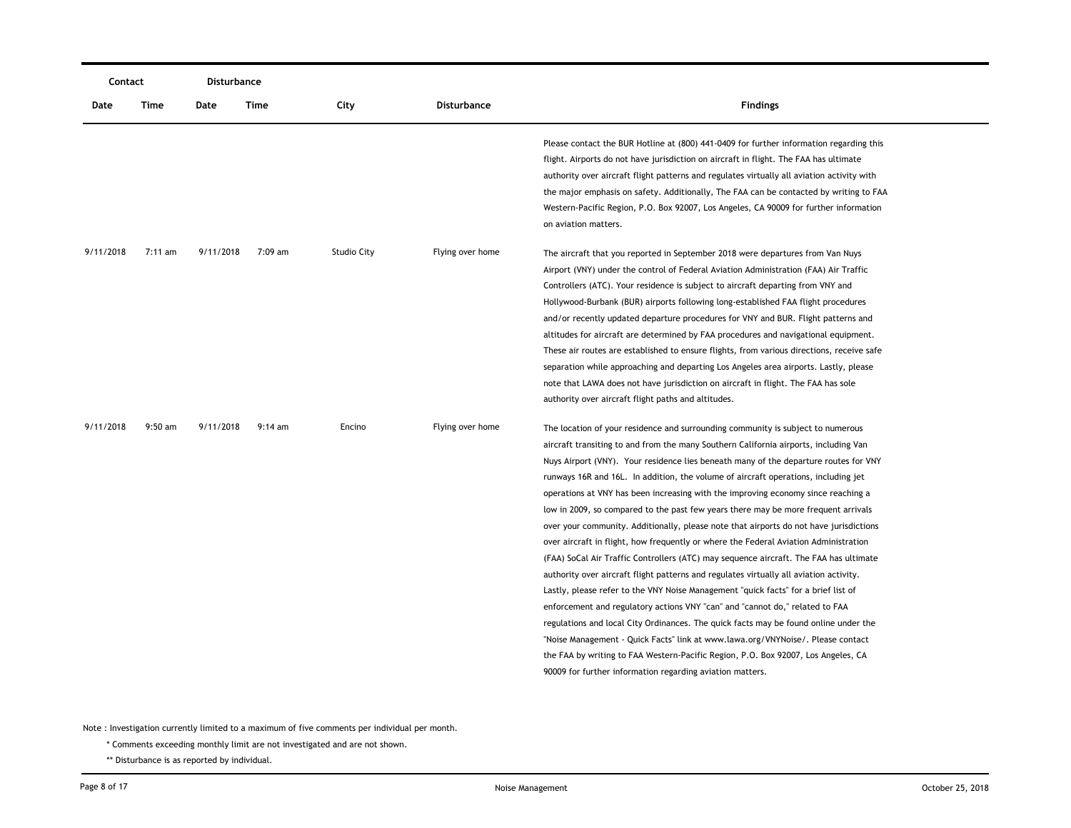|           | Contact   |           | Disturbance |                    |                    |                                                                                                                                                                                                                                                                                                                                                                                                                                                                                                                                                                                                                                                                                                                                                                                                                                                                                                                                                                                                                                                                                                                                                                                                                                                                                                                                                                                                          |
|-----------|-----------|-----------|-------------|--------------------|--------------------|----------------------------------------------------------------------------------------------------------------------------------------------------------------------------------------------------------------------------------------------------------------------------------------------------------------------------------------------------------------------------------------------------------------------------------------------------------------------------------------------------------------------------------------------------------------------------------------------------------------------------------------------------------------------------------------------------------------------------------------------------------------------------------------------------------------------------------------------------------------------------------------------------------------------------------------------------------------------------------------------------------------------------------------------------------------------------------------------------------------------------------------------------------------------------------------------------------------------------------------------------------------------------------------------------------------------------------------------------------------------------------------------------------|
| Date      | Time      | Date      | Time        | City               | <b>Disturbance</b> | <b>Findings</b>                                                                                                                                                                                                                                                                                                                                                                                                                                                                                                                                                                                                                                                                                                                                                                                                                                                                                                                                                                                                                                                                                                                                                                                                                                                                                                                                                                                          |
|           |           |           |             |                    |                    | Please contact the BUR Hotline at (800) 441-0409 for further information regarding this<br>flight. Airports do not have jurisdiction on aircraft in flight. The FAA has ultimate<br>authority over aircraft flight patterns and regulates virtually all aviation activity with<br>the major emphasis on safety. Additionally, The FAA can be contacted by writing to FAA<br>Western-Pacific Region, P.O. Box 92007, Los Angeles, CA 90009 for further information<br>on aviation matters.                                                                                                                                                                                                                                                                                                                                                                                                                                                                                                                                                                                                                                                                                                                                                                                                                                                                                                                |
| 9/11/2018 | $7:11$ am | 9/11/2018 | 7:09 am     | <b>Studio City</b> | Flying over home   | The aircraft that you reported in September 2018 were departures from Van Nuys<br>Airport (VNY) under the control of Federal Aviation Administration (FAA) Air Traffic<br>Controllers (ATC). Your residence is subject to aircraft departing from VNY and<br>Hollywood-Burbank (BUR) airports following long-established FAA flight procedures<br>and/or recently updated departure procedures for VNY and BUR. Flight patterns and<br>altitudes for aircraft are determined by FAA procedures and navigational equipment.<br>These air routes are established to ensure flights, from various directions, receive safe<br>separation while approaching and departing Los Angeles area airports. Lastly, please<br>note that LAWA does not have jurisdiction on aircraft in flight. The FAA has sole<br>authority over aircraft flight paths and altitudes.                                                                                                                                                                                                                                                                                                                                                                                                                                                                                                                                              |
| 9/11/2018 | $9:50$ am | 9/11/2018 | $9:14$ am   | Encino             | Flying over home   | The location of your residence and surrounding community is subject to numerous<br>aircraft transiting to and from the many Southern California airports, including Van<br>Nuys Airport (VNY). Your residence lies beneath many of the departure routes for VNY<br>runways 16R and 16L. In addition, the volume of aircraft operations, including jet<br>operations at VNY has been increasing with the improving economy since reaching a<br>low in 2009, so compared to the past few years there may be more frequent arrivals<br>over your community. Additionally, please note that airports do not have jurisdictions<br>over aircraft in flight, how frequently or where the Federal Aviation Administration<br>(FAA) SoCal Air Traffic Controllers (ATC) may sequence aircraft. The FAA has ultimate<br>authority over aircraft flight patterns and regulates virtually all aviation activity.<br>Lastly, please refer to the VNY Noise Management "quick facts" for a brief list of<br>enforcement and regulatory actions VNY "can" and "cannot do," related to FAA<br>regulations and local City Ordinances. The quick facts may be found online under the<br>"Noise Management - Quick Facts" link at www.lawa.org/VNYNoise/. Please contact<br>the FAA by writing to FAA Western-Pacific Region, P.O. Box 92007, Los Angeles, CA<br>90009 for further information regarding aviation matters. |

\* Comments exceeding monthly limit are not investigated and are not shown.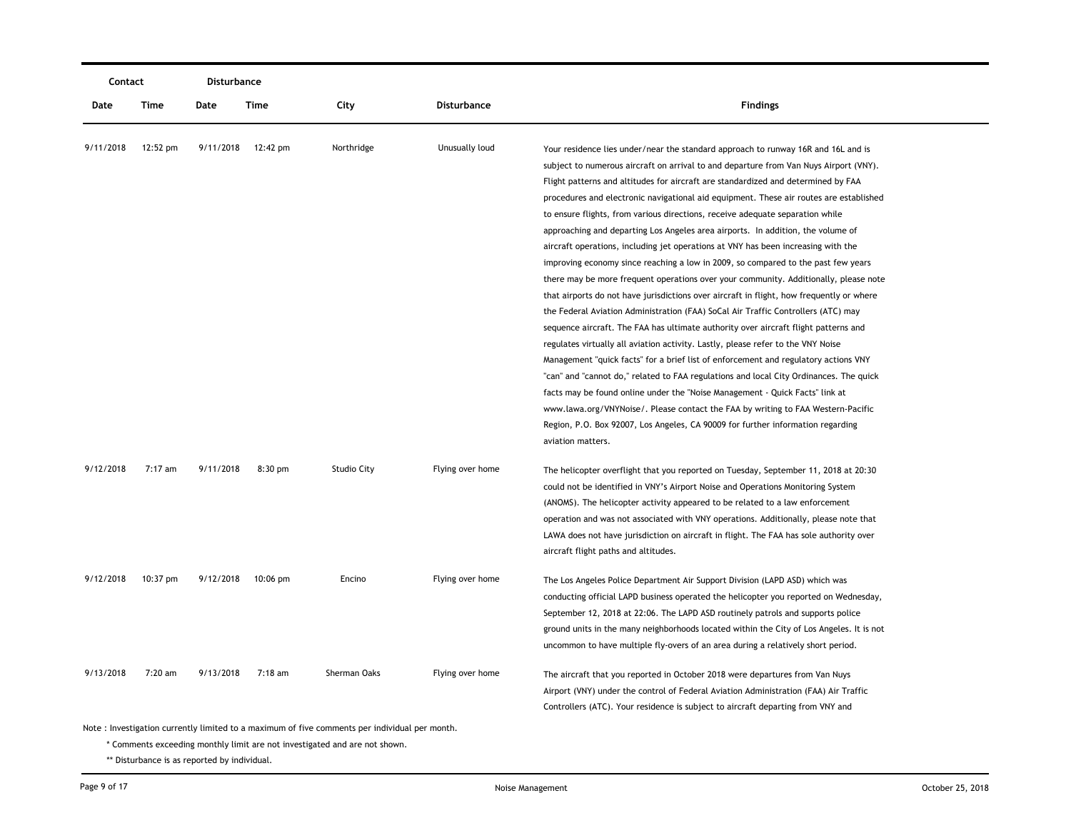| Contact   |          | Disturbance |                    |                                                                                               |                    |                                                                                                                                                                            |
|-----------|----------|-------------|--------------------|-----------------------------------------------------------------------------------------------|--------------------|----------------------------------------------------------------------------------------------------------------------------------------------------------------------------|
| Date      | Time     | Date        | Time               | City                                                                                          | <b>Disturbance</b> | <b>Findings</b>                                                                                                                                                            |
| 9/11/2018 | 12:52 pm | 9/11/2018   | 12:42 pm           | Northridge                                                                                    | Unusually loud     | Your residence lies under/near the standard approach to runway 16R and 16L and is<br>subject to numerous aircraft on arrival to and departure from Van Nuys Airport (VNY). |
|           |          |             |                    |                                                                                               |                    | Flight patterns and altitudes for aircraft are standardized and determined by FAA                                                                                          |
|           |          |             |                    |                                                                                               |                    | procedures and electronic navigational aid equipment. These air routes are established                                                                                     |
|           |          |             |                    |                                                                                               |                    | to ensure flights, from various directions, receive adequate separation while                                                                                              |
|           |          |             |                    |                                                                                               |                    | approaching and departing Los Angeles area airports. In addition, the volume of                                                                                            |
|           |          |             |                    |                                                                                               |                    | aircraft operations, including jet operations at VNY has been increasing with the                                                                                          |
|           |          |             |                    |                                                                                               |                    | improving economy since reaching a low in 2009, so compared to the past few years                                                                                          |
|           |          |             |                    |                                                                                               |                    | there may be more frequent operations over your community. Additionally, please note                                                                                       |
|           |          |             |                    |                                                                                               |                    | that airports do not have jurisdictions over aircraft in flight, how frequently or where                                                                                   |
|           |          |             |                    |                                                                                               |                    | the Federal Aviation Administration (FAA) SoCal Air Traffic Controllers (ATC) may                                                                                          |
|           |          |             |                    |                                                                                               |                    | sequence aircraft. The FAA has ultimate authority over aircraft flight patterns and                                                                                        |
|           |          |             |                    |                                                                                               |                    | regulates virtually all aviation activity. Lastly, please refer to the VNY Noise                                                                                           |
|           |          |             |                    |                                                                                               |                    | Management "quick facts" for a brief list of enforcement and regulatory actions VNY                                                                                        |
|           |          |             |                    |                                                                                               |                    | "can" and "cannot do," related to FAA regulations and local City Ordinances. The quick                                                                                     |
|           |          |             |                    |                                                                                               |                    | facts may be found online under the "Noise Management - Quick Facts" link at                                                                                               |
|           |          |             |                    |                                                                                               |                    | www.lawa.org/VNYNoise/. Please contact the FAA by writing to FAA Western-Pacific                                                                                           |
|           |          |             |                    |                                                                                               |                    | Region, P.O. Box 92007, Los Angeles, CA 90009 for further information regarding                                                                                            |
|           |          |             |                    |                                                                                               |                    | aviation matters.                                                                                                                                                          |
| 9/12/2018 | 7:17 am  | 9/11/2018   | $8:30$ pm          | <b>Studio City</b>                                                                            | Flying over home   | The helicopter overflight that you reported on Tuesday, September 11, 2018 at 20:30                                                                                        |
|           |          |             |                    |                                                                                               |                    | could not be identified in VNY's Airport Noise and Operations Monitoring System                                                                                            |
|           |          |             |                    |                                                                                               |                    | (ANOMS). The helicopter activity appeared to be related to a law enforcement                                                                                               |
|           |          |             |                    |                                                                                               |                    | operation and was not associated with VNY operations. Additionally, please note that                                                                                       |
|           |          |             |                    |                                                                                               |                    | LAWA does not have jurisdiction on aircraft in flight. The FAA has sole authority over                                                                                     |
|           |          |             |                    |                                                                                               |                    | aircraft flight paths and altitudes.                                                                                                                                       |
| 9/12/2018 | 10:37 pm | 9/12/2018   | $10:06 \text{ pm}$ | Encino                                                                                        | Flying over home   | The Los Angeles Police Department Air Support Division (LAPD ASD) which was                                                                                                |
|           |          |             |                    |                                                                                               |                    | conducting official LAPD business operated the helicopter you reported on Wednesday,                                                                                       |
|           |          |             |                    |                                                                                               |                    | September 12, 2018 at 22:06. The LAPD ASD routinely patrols and supports police                                                                                            |
|           |          |             |                    |                                                                                               |                    | ground units in the many neighborhoods located within the City of Los Angeles. It is not                                                                                   |
|           |          |             |                    |                                                                                               |                    | uncommon to have multiple fly-overs of an area during a relatively short period.                                                                                           |
| 9/13/2018 | 7:20 am  | 9/13/2018   | 7:18 am            | Sherman Oaks                                                                                  | Flying over home   | The aircraft that you reported in October 2018 were departures from Van Nuys                                                                                               |
|           |          |             |                    |                                                                                               |                    | Airport (VNY) under the control of Federal Aviation Administration (FAA) Air Traffic                                                                                       |
|           |          |             |                    |                                                                                               |                    | Controllers (ATC). Your residence is subject to aircraft departing from VNY and                                                                                            |
|           |          |             |                    | Note: Investigation currently limited to a maximum of five comments per individual per month. |                    |                                                                                                                                                                            |

\* Comments exceeding monthly limit are not investigated and are not shown.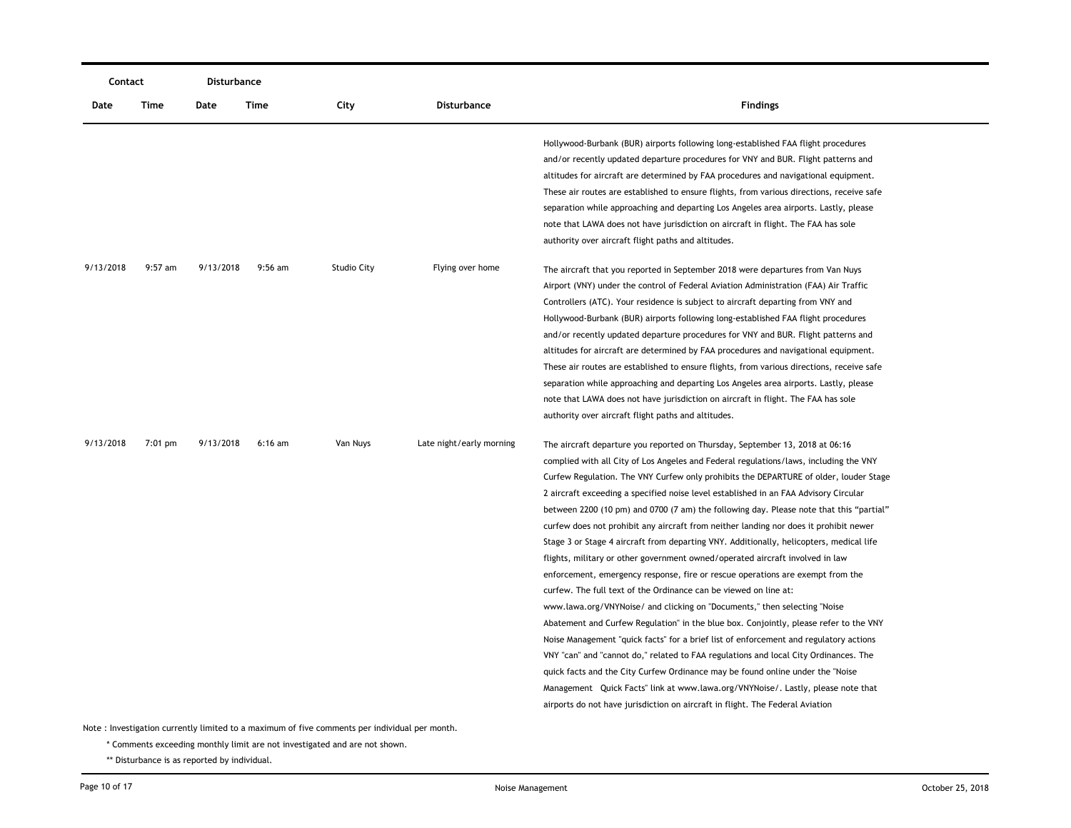| Contact   |           | <b>Disturbance</b> |           |                    |                          |                                                                                                                                                                                                                                                                                                                                                                                                                                                                                                                                                                                                                                                                                                                                                                                                                                                                                                                                                                                                                                                                                                                                                                                                                                                                                                                                                                                                                                                                                             |
|-----------|-----------|--------------------|-----------|--------------------|--------------------------|---------------------------------------------------------------------------------------------------------------------------------------------------------------------------------------------------------------------------------------------------------------------------------------------------------------------------------------------------------------------------------------------------------------------------------------------------------------------------------------------------------------------------------------------------------------------------------------------------------------------------------------------------------------------------------------------------------------------------------------------------------------------------------------------------------------------------------------------------------------------------------------------------------------------------------------------------------------------------------------------------------------------------------------------------------------------------------------------------------------------------------------------------------------------------------------------------------------------------------------------------------------------------------------------------------------------------------------------------------------------------------------------------------------------------------------------------------------------------------------------|
| Date      | Time      | Date               | Time      | City               | <b>Disturbance</b>       | <b>Findings</b>                                                                                                                                                                                                                                                                                                                                                                                                                                                                                                                                                                                                                                                                                                                                                                                                                                                                                                                                                                                                                                                                                                                                                                                                                                                                                                                                                                                                                                                                             |
|           |           |                    |           |                    |                          | Hollywood-Burbank (BUR) airports following long-established FAA flight procedures<br>and/or recently updated departure procedures for VNY and BUR. Flight patterns and<br>altitudes for aircraft are determined by FAA procedures and navigational equipment.<br>These air routes are established to ensure flights, from various directions, receive safe<br>separation while approaching and departing Los Angeles area airports. Lastly, please<br>note that LAWA does not have jurisdiction on aircraft in flight. The FAA has sole<br>authority over aircraft flight paths and altitudes.                                                                                                                                                                                                                                                                                                                                                                                                                                                                                                                                                                                                                                                                                                                                                                                                                                                                                              |
| 9/13/2018 | $9:57$ am | 9/13/2018          | $9:56$ am | <b>Studio City</b> | Flying over home         | The aircraft that you reported in September 2018 were departures from Van Nuys<br>Airport (VNY) under the control of Federal Aviation Administration (FAA) Air Traffic<br>Controllers (ATC). Your residence is subject to aircraft departing from VNY and<br>Hollywood-Burbank (BUR) airports following long-established FAA flight procedures<br>and/or recently updated departure procedures for VNY and BUR. Flight patterns and<br>altitudes for aircraft are determined by FAA procedures and navigational equipment.<br>These air routes are established to ensure flights, from various directions, receive safe<br>separation while approaching and departing Los Angeles area airports. Lastly, please<br>note that LAWA does not have jurisdiction on aircraft in flight. The FAA has sole<br>authority over aircraft flight paths and altitudes.                                                                                                                                                                                                                                                                                                                                                                                                                                                                                                                                                                                                                                 |
| 9/13/2018 | $7:01$ pm | 9/13/2018          | $6:16$ am | Van Nuys           | Late night/early morning | The aircraft departure you reported on Thursday, September 13, 2018 at 06:16<br>complied with all City of Los Angeles and Federal regulations/laws, including the VNY<br>Curfew Regulation. The VNY Curfew only prohibits the DEPARTURE of older, louder Stage<br>2 aircraft exceeding a specified noise level established in an FAA Advisory Circular<br>between 2200 (10 pm) and 0700 (7 am) the following day. Please note that this "partial"<br>curfew does not prohibit any aircraft from neither landing nor does it prohibit newer<br>Stage 3 or Stage 4 aircraft from departing VNY. Additionally, helicopters, medical life<br>flights, military or other government owned/operated aircraft involved in law<br>enforcement, emergency response, fire or rescue operations are exempt from the<br>curfew. The full text of the Ordinance can be viewed on line at:<br>www.lawa.org/VNYNoise/ and clicking on "Documents," then selecting "Noise<br>Abatement and Curfew Regulation" in the blue box. Conjointly, please refer to the VNY<br>Noise Management "quick facts" for a brief list of enforcement and regulatory actions<br>VNY "can" and "cannot do," related to FAA regulations and local City Ordinances. The<br>quick facts and the City Curfew Ordinance may be found online under the "Noise"<br>Management Quick Facts" link at www.lawa.org/VNYNoise/. Lastly, please note that<br>airports do not have jurisdiction on aircraft in flight. The Federal Aviation |

\* Comments exceeding monthly limit are not investigated and are not shown.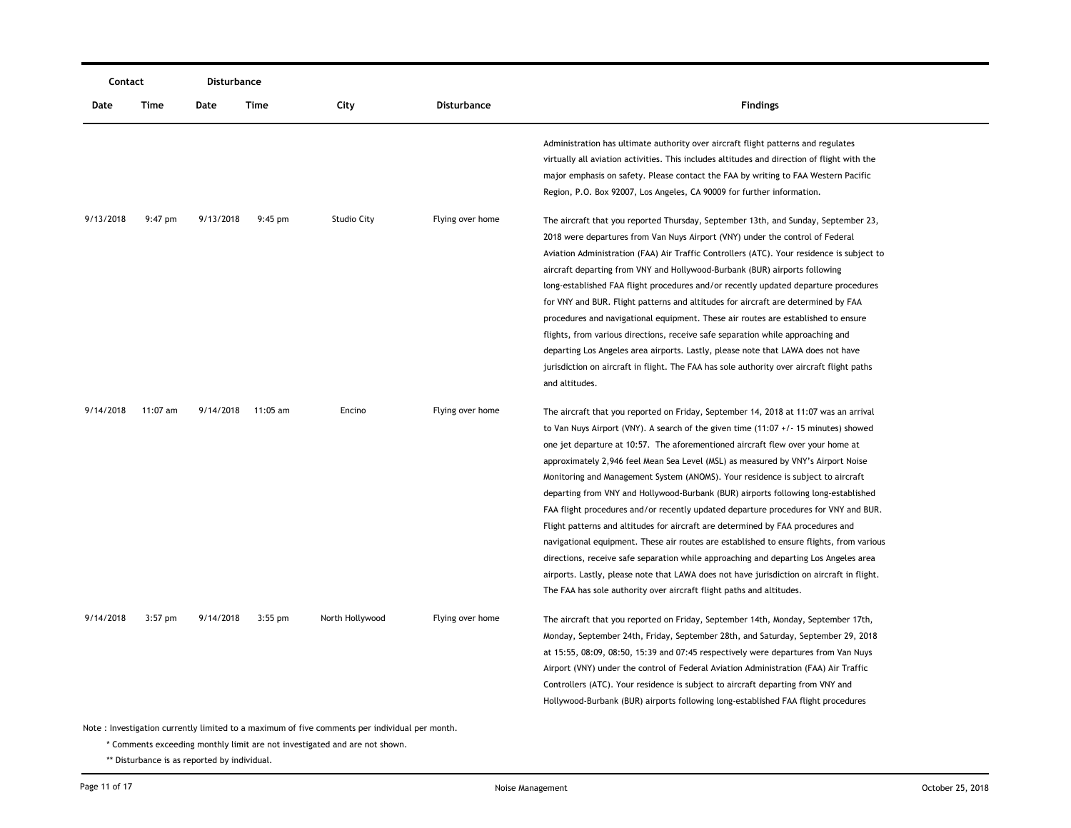| Contact   |           | Disturbance |           |                                                                                               |                    |                                                                                                                                                                                                                                                                                                                                                                                                                                                                                                                                                                                                                                                                                                                                                                                                                                                                                                                                                                                                                                                                   |
|-----------|-----------|-------------|-----------|-----------------------------------------------------------------------------------------------|--------------------|-------------------------------------------------------------------------------------------------------------------------------------------------------------------------------------------------------------------------------------------------------------------------------------------------------------------------------------------------------------------------------------------------------------------------------------------------------------------------------------------------------------------------------------------------------------------------------------------------------------------------------------------------------------------------------------------------------------------------------------------------------------------------------------------------------------------------------------------------------------------------------------------------------------------------------------------------------------------------------------------------------------------------------------------------------------------|
| Date      | Time      | Date        | Time      | City                                                                                          | <b>Disturbance</b> | <b>Findings</b>                                                                                                                                                                                                                                                                                                                                                                                                                                                                                                                                                                                                                                                                                                                                                                                                                                                                                                                                                                                                                                                   |
|           |           |             |           |                                                                                               |                    | Administration has ultimate authority over aircraft flight patterns and regulates<br>virtually all aviation activities. This includes altitudes and direction of flight with the<br>major emphasis on safety. Please contact the FAA by writing to FAA Western Pacific<br>Region, P.O. Box 92007, Los Angeles, CA 90009 for further information.                                                                                                                                                                                                                                                                                                                                                                                                                                                                                                                                                                                                                                                                                                                  |
| 9/13/2018 | 9:47 pm   | 9/13/2018   | $9:45$ pm | <b>Studio City</b>                                                                            | Flying over home   | The aircraft that you reported Thursday, September 13th, and Sunday, September 23,<br>2018 were departures from Van Nuys Airport (VNY) under the control of Federal<br>Aviation Administration (FAA) Air Traffic Controllers (ATC). Your residence is subject to<br>aircraft departing from VNY and Hollywood-Burbank (BUR) airports following<br>long-established FAA flight procedures and/or recently updated departure procedures<br>for VNY and BUR. Flight patterns and altitudes for aircraft are determined by FAA<br>procedures and navigational equipment. These air routes are established to ensure<br>flights, from various directions, receive safe separation while approaching and<br>departing Los Angeles area airports. Lastly, please note that LAWA does not have<br>jurisdiction on aircraft in flight. The FAA has sole authority over aircraft flight paths<br>and altitudes.                                                                                                                                                             |
| 9/14/2018 | 11:07 am  | 9/14/2018   | 11:05 am  | Encino                                                                                        | Flying over home   | The aircraft that you reported on Friday, September 14, 2018 at 11:07 was an arrival<br>to Van Nuys Airport (VNY). A search of the given time $(11:07 + / - 15$ minutes) showed<br>one jet departure at 10:57. The aforementioned aircraft flew over your home at<br>approximately 2,946 feel Mean Sea Level (MSL) as measured by VNY's Airport Noise<br>Monitoring and Management System (ANOMS). Your residence is subject to aircraft<br>departing from VNY and Hollywood-Burbank (BUR) airports following long-established<br>FAA flight procedures and/or recently updated departure procedures for VNY and BUR.<br>Flight patterns and altitudes for aircraft are determined by FAA procedures and<br>navigational equipment. These air routes are established to ensure flights, from various<br>directions, receive safe separation while approaching and departing Los Angeles area<br>airports. Lastly, please note that LAWA does not have jurisdiction on aircraft in flight.<br>The FAA has sole authority over aircraft flight paths and altitudes. |
| 9/14/2018 | $3:57$ pm | 9/14/2018   | $3:55$ pm | North Hollywood                                                                               | Flying over home   | The aircraft that you reported on Friday, September 14th, Monday, September 17th,<br>Monday, September 24th, Friday, September 28th, and Saturday, September 29, 2018<br>at 15:55, 08:09, 08:50, 15:39 and 07:45 respectively were departures from Van Nuys<br>Airport (VNY) under the control of Federal Aviation Administration (FAA) Air Traffic<br>Controllers (ATC). Your residence is subject to aircraft departing from VNY and<br>Hollywood-Burbank (BUR) airports following long-established FAA flight procedures                                                                                                                                                                                                                                                                                                                                                                                                                                                                                                                                       |
|           |           |             |           | Note: Investigation currently limited to a maximum of five comments per individual per month. |                    |                                                                                                                                                                                                                                                                                                                                                                                                                                                                                                                                                                                                                                                                                                                                                                                                                                                                                                                                                                                                                                                                   |

\* Comments exceeding monthly limit are not investigated and are not shown.

\*\* Disturbance is as reported by individual.

\_\_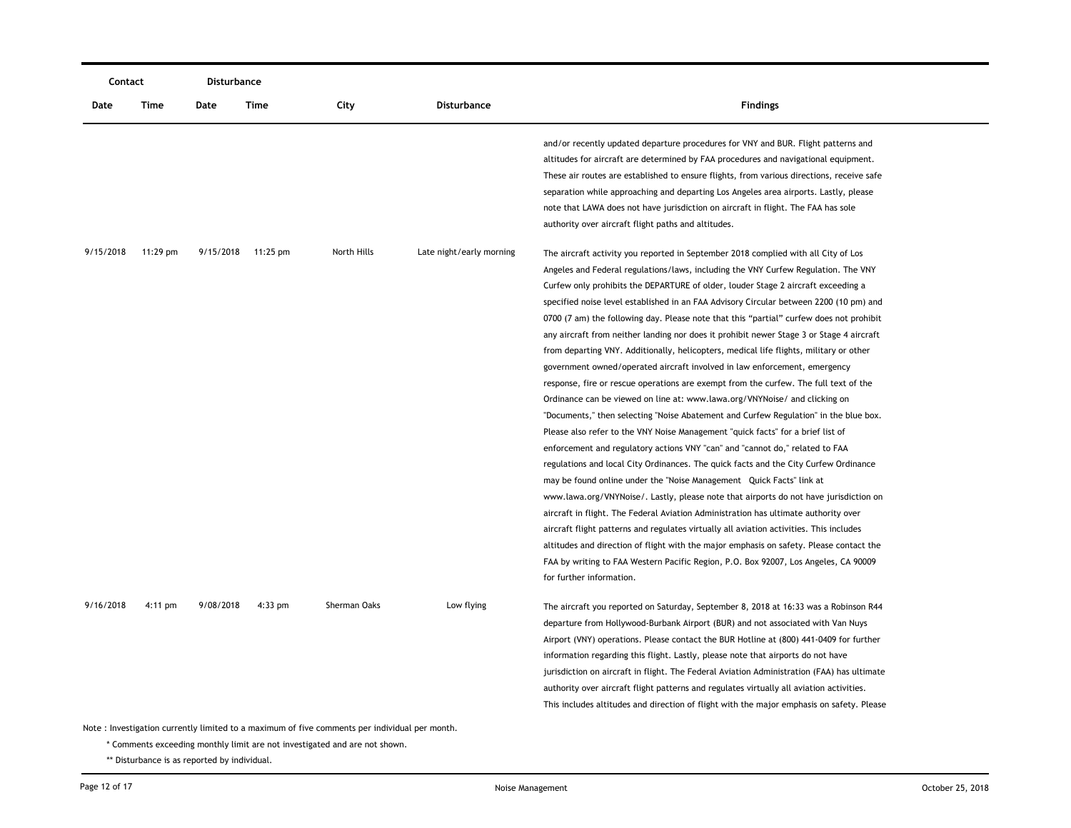| Contact   |                                                                                               | Disturbance |          |              |                          |                                                                                                                                                                                                                                                                                                                                                                                                                                                                                                                                                                                                                                                                                                                                                                                                                                                                                                                                                                                                                                                                                                                                                                                                                                                                                                                                                                                                                                                                                                                                                                                                                                                                                                                                                                                                                 |  |  |  |
|-----------|-----------------------------------------------------------------------------------------------|-------------|----------|--------------|--------------------------|-----------------------------------------------------------------------------------------------------------------------------------------------------------------------------------------------------------------------------------------------------------------------------------------------------------------------------------------------------------------------------------------------------------------------------------------------------------------------------------------------------------------------------------------------------------------------------------------------------------------------------------------------------------------------------------------------------------------------------------------------------------------------------------------------------------------------------------------------------------------------------------------------------------------------------------------------------------------------------------------------------------------------------------------------------------------------------------------------------------------------------------------------------------------------------------------------------------------------------------------------------------------------------------------------------------------------------------------------------------------------------------------------------------------------------------------------------------------------------------------------------------------------------------------------------------------------------------------------------------------------------------------------------------------------------------------------------------------------------------------------------------------------------------------------------------------|--|--|--|
| Date      | Time                                                                                          | Date        | Time     | City         | <b>Disturbance</b>       | <b>Findings</b>                                                                                                                                                                                                                                                                                                                                                                                                                                                                                                                                                                                                                                                                                                                                                                                                                                                                                                                                                                                                                                                                                                                                                                                                                                                                                                                                                                                                                                                                                                                                                                                                                                                                                                                                                                                                 |  |  |  |
|           |                                                                                               |             |          |              |                          | and/or recently updated departure procedures for VNY and BUR. Flight patterns and<br>altitudes for aircraft are determined by FAA procedures and navigational equipment.<br>These air routes are established to ensure flights, from various directions, receive safe<br>separation while approaching and departing Los Angeles area airports. Lastly, please<br>note that LAWA does not have jurisdiction on aircraft in flight. The FAA has sole<br>authority over aircraft flight paths and altitudes.                                                                                                                                                                                                                                                                                                                                                                                                                                                                                                                                                                                                                                                                                                                                                                                                                                                                                                                                                                                                                                                                                                                                                                                                                                                                                                       |  |  |  |
| 9/15/2018 | $11:29$ pm                                                                                    | 9/15/2018   | 11:25 pm | North Hills  | Late night/early morning | The aircraft activity you reported in September 2018 complied with all City of Los<br>Angeles and Federal regulations/laws, including the VNY Curfew Regulation. The VNY<br>Curfew only prohibits the DEPARTURE of older, louder Stage 2 aircraft exceeding a<br>specified noise level established in an FAA Advisory Circular between 2200 (10 pm) and<br>0700 (7 am) the following day. Please note that this "partial" curfew does not prohibit<br>any aircraft from neither landing nor does it prohibit newer Stage 3 or Stage 4 aircraft<br>from departing VNY. Additionally, helicopters, medical life flights, military or other<br>government owned/operated aircraft involved in law enforcement, emergency<br>response, fire or rescue operations are exempt from the curfew. The full text of the<br>Ordinance can be viewed on line at: www.lawa.org/VNYNoise/ and clicking on<br>"Documents," then selecting "Noise Abatement and Curfew Regulation" in the blue box.<br>Please also refer to the VNY Noise Management "quick facts" for a brief list of<br>enforcement and regulatory actions VNY "can" and "cannot do," related to FAA<br>regulations and local City Ordinances. The quick facts and the City Curfew Ordinance<br>may be found online under the "Noise Management Quick Facts" link at<br>www.lawa.org/VNYNoise/. Lastly, please note that airports do not have jurisdiction on<br>aircraft in flight. The Federal Aviation Administration has ultimate authority over<br>aircraft flight patterns and regulates virtually all aviation activities. This includes<br>altitudes and direction of flight with the major emphasis on safety. Please contact the<br>FAA by writing to FAA Western Pacific Region, P.O. Box 92007, Los Angeles, CA 90009<br>for further information. |  |  |  |
| 9/16/2018 | 4:11 pm                                                                                       | 9/08/2018   | 4:33 pm  | Sherman Oaks | Low flying               | The aircraft you reported on Saturday, September 8, 2018 at 16:33 was a Robinson R44<br>departure from Hollywood-Burbank Airport (BUR) and not associated with Van Nuys<br>Airport (VNY) operations. Please contact the BUR Hotline at (800) 441-0409 for further<br>information regarding this flight. Lastly, please note that airports do not have<br>jurisdiction on aircraft in flight. The Federal Aviation Administration (FAA) has ultimate<br>authority over aircraft flight patterns and regulates virtually all aviation activities.<br>This includes altitudes and direction of flight with the major emphasis on safety. Please                                                                                                                                                                                                                                                                                                                                                                                                                                                                                                                                                                                                                                                                                                                                                                                                                                                                                                                                                                                                                                                                                                                                                                    |  |  |  |
|           | Note: Investigation currently limited to a maximum of five comments per individual per month. |             |          |              |                          |                                                                                                                                                                                                                                                                                                                                                                                                                                                                                                                                                                                                                                                                                                                                                                                                                                                                                                                                                                                                                                                                                                                                                                                                                                                                                                                                                                                                                                                                                                                                                                                                                                                                                                                                                                                                                 |  |  |  |

\* Comments exceeding monthly limit are not investigated and are not shown.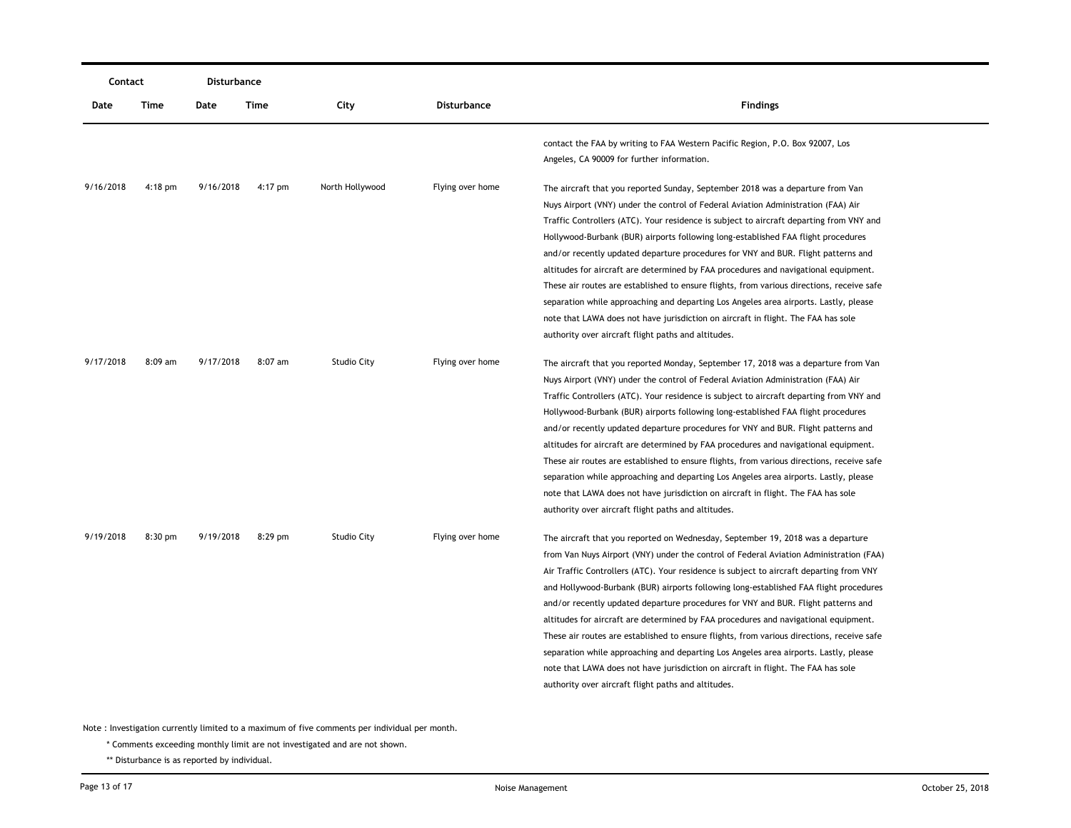| Contact   |           | Disturbance |         |                    |                    |                                                                                                                                                                                                                                                                                                                                                                                                                                                                                                                                                                                                                                                                                                                                                                                                                                                                            |
|-----------|-----------|-------------|---------|--------------------|--------------------|----------------------------------------------------------------------------------------------------------------------------------------------------------------------------------------------------------------------------------------------------------------------------------------------------------------------------------------------------------------------------------------------------------------------------------------------------------------------------------------------------------------------------------------------------------------------------------------------------------------------------------------------------------------------------------------------------------------------------------------------------------------------------------------------------------------------------------------------------------------------------|
| Date      | Time      | Date        | Time    | City               | <b>Disturbance</b> | <b>Findings</b>                                                                                                                                                                                                                                                                                                                                                                                                                                                                                                                                                                                                                                                                                                                                                                                                                                                            |
|           |           |             |         |                    |                    | contact the FAA by writing to FAA Western Pacific Region, P.O. Box 92007, Los<br>Angeles, CA 90009 for further information.                                                                                                                                                                                                                                                                                                                                                                                                                                                                                                                                                                                                                                                                                                                                                |
| 9/16/2018 | $4:18$ pm | 9/16/2018   | 4:17 pm | North Hollywood    | Flying over home   | The aircraft that you reported Sunday, September 2018 was a departure from Van<br>Nuys Airport (VNY) under the control of Federal Aviation Administration (FAA) Air<br>Traffic Controllers (ATC). Your residence is subject to aircraft departing from VNY and<br>Hollywood-Burbank (BUR) airports following long-established FAA flight procedures<br>and/or recently updated departure procedures for VNY and BUR. Flight patterns and<br>altitudes for aircraft are determined by FAA procedures and navigational equipment.<br>These air routes are established to ensure flights, from various directions, receive safe<br>separation while approaching and departing Los Angeles area airports. Lastly, please<br>note that LAWA does not have jurisdiction on aircraft in flight. The FAA has sole<br>authority over aircraft flight paths and altitudes.           |
| 9/17/2018 | 8:09 am   | 9/17/2018   | 8:07 am | <b>Studio City</b> | Flying over home   | The aircraft that you reported Monday, September 17, 2018 was a departure from Van<br>Nuys Airport (VNY) under the control of Federal Aviation Administration (FAA) Air<br>Traffic Controllers (ATC). Your residence is subject to aircraft departing from VNY and<br>Hollywood-Burbank (BUR) airports following long-established FAA flight procedures<br>and/or recently updated departure procedures for VNY and BUR. Flight patterns and<br>altitudes for aircraft are determined by FAA procedures and navigational equipment.<br>These air routes are established to ensure flights, from various directions, receive safe<br>separation while approaching and departing Los Angeles area airports. Lastly, please<br>note that LAWA does not have jurisdiction on aircraft in flight. The FAA has sole<br>authority over aircraft flight paths and altitudes.       |
| 9/19/2018 | $8:30$ pm | 9/19/2018   | 8:29 pm | <b>Studio City</b> | Flying over home   | The aircraft that you reported on Wednesday, September 19, 2018 was a departure<br>from Van Nuys Airport (VNY) under the control of Federal Aviation Administration (FAA)<br>Air Traffic Controllers (ATC). Your residence is subject to aircraft departing from VNY<br>and Hollywood-Burbank (BUR) airports following long-established FAA flight procedures<br>and/or recently updated departure procedures for VNY and BUR. Flight patterns and<br>altitudes for aircraft are determined by FAA procedures and navigational equipment.<br>These air routes are established to ensure flights, from various directions, receive safe<br>separation while approaching and departing Los Angeles area airports. Lastly, please<br>note that LAWA does not have jurisdiction on aircraft in flight. The FAA has sole<br>authority over aircraft flight paths and altitudes. |

\* Comments exceeding monthly limit are not investigated and are not shown.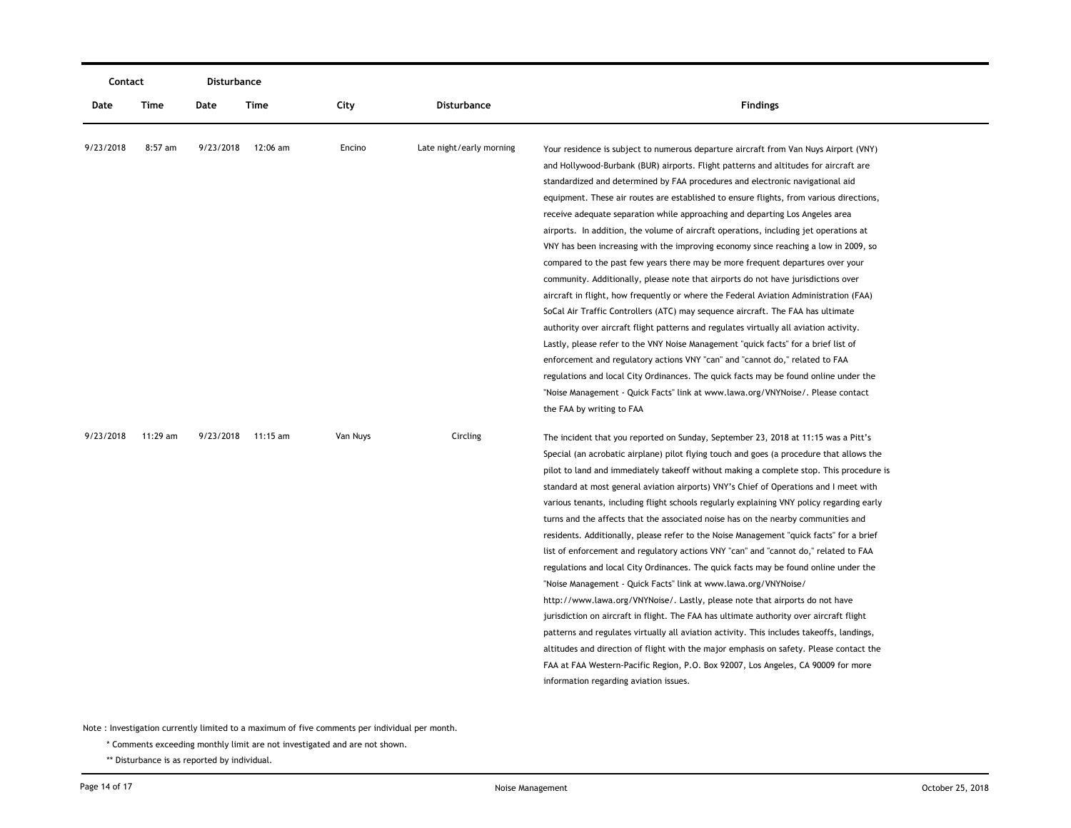|           | Contact   |           | Disturbance        |          |                          |                                                                                                                                                                                                                                                                                                                                                                                                                                                                                                                                                                                                                                                                                                                                                                                                                                                                                                                                                                                                                                                                                                                                                                                                                                                                                                                                                                                                                                                     |
|-----------|-----------|-----------|--------------------|----------|--------------------------|-----------------------------------------------------------------------------------------------------------------------------------------------------------------------------------------------------------------------------------------------------------------------------------------------------------------------------------------------------------------------------------------------------------------------------------------------------------------------------------------------------------------------------------------------------------------------------------------------------------------------------------------------------------------------------------------------------------------------------------------------------------------------------------------------------------------------------------------------------------------------------------------------------------------------------------------------------------------------------------------------------------------------------------------------------------------------------------------------------------------------------------------------------------------------------------------------------------------------------------------------------------------------------------------------------------------------------------------------------------------------------------------------------------------------------------------------------|
| Date      | Time      | Date      | Time               | City     | <b>Disturbance</b>       | <b>Findings</b>                                                                                                                                                                                                                                                                                                                                                                                                                                                                                                                                                                                                                                                                                                                                                                                                                                                                                                                                                                                                                                                                                                                                                                                                                                                                                                                                                                                                                                     |
| 9/23/2018 | $8:57$ am | 9/23/2018 | 12:06 am           | Encino   | Late night/early morning | Your residence is subject to numerous departure aircraft from Van Nuys Airport (VNY)<br>and Hollywood-Burbank (BUR) airports. Flight patterns and altitudes for aircraft are<br>standardized and determined by FAA procedures and electronic navigational aid<br>equipment. These air routes are established to ensure flights, from various directions,<br>receive adequate separation while approaching and departing Los Angeles area<br>airports. In addition, the volume of aircraft operations, including jet operations at<br>VNY has been increasing with the improving economy since reaching a low in 2009, so<br>compared to the past few years there may be more frequent departures over your<br>community. Additionally, please note that airports do not have jurisdictions over<br>aircraft in flight, how frequently or where the Federal Aviation Administration (FAA)<br>SoCal Air Traffic Controllers (ATC) may sequence aircraft. The FAA has ultimate<br>authority over aircraft flight patterns and regulates virtually all aviation activity.<br>Lastly, please refer to the VNY Noise Management "quick facts" for a brief list of<br>enforcement and regulatory actions VNY "can" and "cannot do," related to FAA<br>regulations and local City Ordinances. The quick facts may be found online under the<br>"Noise Management - Quick Facts" link at www.lawa.org/VNYNoise/. Please contact<br>the FAA by writing to FAA |
| 9/23/2018 | 11:29 am  |           | 9/23/2018 11:15 am | Van Nuys | Circling                 | The incident that you reported on Sunday, September 23, 2018 at 11:15 was a Pitt's<br>Special (an acrobatic airplane) pilot flying touch and goes (a procedure that allows the<br>pilot to land and immediately take off without making a complete stop. This procedure is<br>standard at most general aviation airports) VNY's Chief of Operations and I meet with<br>various tenants, including flight schools regularly explaining VNY policy regarding early<br>turns and the affects that the associated noise has on the nearby communities and<br>residents. Additionally, please refer to the Noise Management "quick facts" for a brief<br>list of enforcement and regulatory actions VNY "can" and "cannot do," related to FAA<br>regulations and local City Ordinances. The quick facts may be found online under the<br>"Noise Management - Quick Facts" link at www.lawa.org/VNYNoise/<br>http://www.lawa.org/VNYNoise/. Lastly, please note that airports do not have<br>jurisdiction on aircraft in flight. The FAA has ultimate authority over aircraft flight<br>patterns and regulates virtually all aviation activity. This includes takeoffs, landings,<br>altitudes and direction of flight with the major emphasis on safety. Please contact the<br>FAA at FAA Western-Pacific Region, P.O. Box 92007, Los Angeles, CA 90009 for more<br>information regarding aviation issues.                                               |

\* Comments exceeding monthly limit are not investigated and are not shown.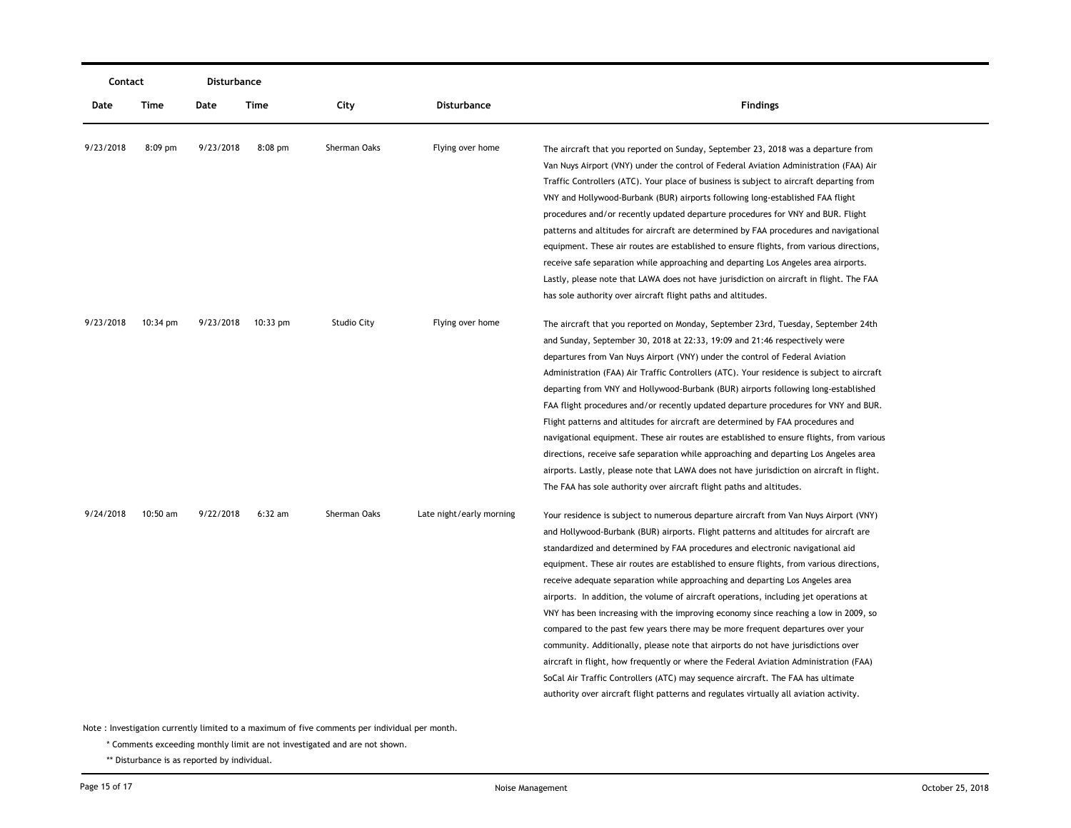|           | Contact            |           | Disturbance        |                    |                          |                                                                                                                                                                                                                                                                                                                                                                                                                                                                                                                                                                                                                                                                                                                                                                                                                                                                                                                                                                                                                                                                       |
|-----------|--------------------|-----------|--------------------|--------------------|--------------------------|-----------------------------------------------------------------------------------------------------------------------------------------------------------------------------------------------------------------------------------------------------------------------------------------------------------------------------------------------------------------------------------------------------------------------------------------------------------------------------------------------------------------------------------------------------------------------------------------------------------------------------------------------------------------------------------------------------------------------------------------------------------------------------------------------------------------------------------------------------------------------------------------------------------------------------------------------------------------------------------------------------------------------------------------------------------------------|
| Date      | Time               | Date      | Time               | City               | Disturbance              | <b>Findings</b>                                                                                                                                                                                                                                                                                                                                                                                                                                                                                                                                                                                                                                                                                                                                                                                                                                                                                                                                                                                                                                                       |
| 9/23/2018 | 8:09 pm            | 9/23/2018 | $8:08$ pm          | Sherman Oaks       | Flying over home         | The aircraft that you reported on Sunday, September 23, 2018 was a departure from<br>Van Nuys Airport (VNY) under the control of Federal Aviation Administration (FAA) Air<br>Traffic Controllers (ATC). Your place of business is subject to aircraft departing from<br>VNY and Hollywood-Burbank (BUR) airports following long-established FAA flight<br>procedures and/or recently updated departure procedures for VNY and BUR. Flight<br>patterns and altitudes for aircraft are determined by FAA procedures and navigational<br>equipment. These air routes are established to ensure flights, from various directions,                                                                                                                                                                                                                                                                                                                                                                                                                                        |
|           |                    |           |                    |                    |                          | receive safe separation while approaching and departing Los Angeles area airports.<br>Lastly, please note that LAWA does not have jurisdiction on aircraft in flight. The FAA<br>has sole authority over aircraft flight paths and altitudes.                                                                                                                                                                                                                                                                                                                                                                                                                                                                                                                                                                                                                                                                                                                                                                                                                         |
| 9/23/2018 | $10:34 \text{ pm}$ |           | 9/23/2018 10:33 pm | <b>Studio City</b> | Flying over home         | The aircraft that you reported on Monday, September 23rd, Tuesday, September 24th<br>and Sunday, September 30, 2018 at 22:33, 19:09 and 21:46 respectively were<br>departures from Van Nuys Airport (VNY) under the control of Federal Aviation<br>Administration (FAA) Air Traffic Controllers (ATC). Your residence is subject to aircraft<br>departing from VNY and Hollywood-Burbank (BUR) airports following long-established<br>FAA flight procedures and/or recently updated departure procedures for VNY and BUR.<br>Flight patterns and altitudes for aircraft are determined by FAA procedures and<br>navigational equipment. These air routes are established to ensure flights, from various<br>directions, receive safe separation while approaching and departing Los Angeles area<br>airports. Lastly, please note that LAWA does not have jurisdiction on aircraft in flight.<br>The FAA has sole authority over aircraft flight paths and altitudes.                                                                                                 |
| 9/24/2018 | $10:50$ am         | 9/22/2018 | $6:32$ am          | Sherman Oaks       | Late night/early morning | Your residence is subject to numerous departure aircraft from Van Nuys Airport (VNY)<br>and Hollywood-Burbank (BUR) airports. Flight patterns and altitudes for aircraft are<br>standardized and determined by FAA procedures and electronic navigational aid<br>equipment. These air routes are established to ensure flights, from various directions,<br>receive adequate separation while approaching and departing Los Angeles area<br>airports. In addition, the volume of aircraft operations, including jet operations at<br>VNY has been increasing with the improving economy since reaching a low in 2009, so<br>compared to the past few years there may be more frequent departures over your<br>community. Additionally, please note that airports do not have jurisdictions over<br>aircraft in flight, how frequently or where the Federal Aviation Administration (FAA)<br>SoCal Air Traffic Controllers (ATC) may sequence aircraft. The FAA has ultimate<br>authority over aircraft flight patterns and regulates virtually all aviation activity. |

\* Comments exceeding monthly limit are not investigated and are not shown.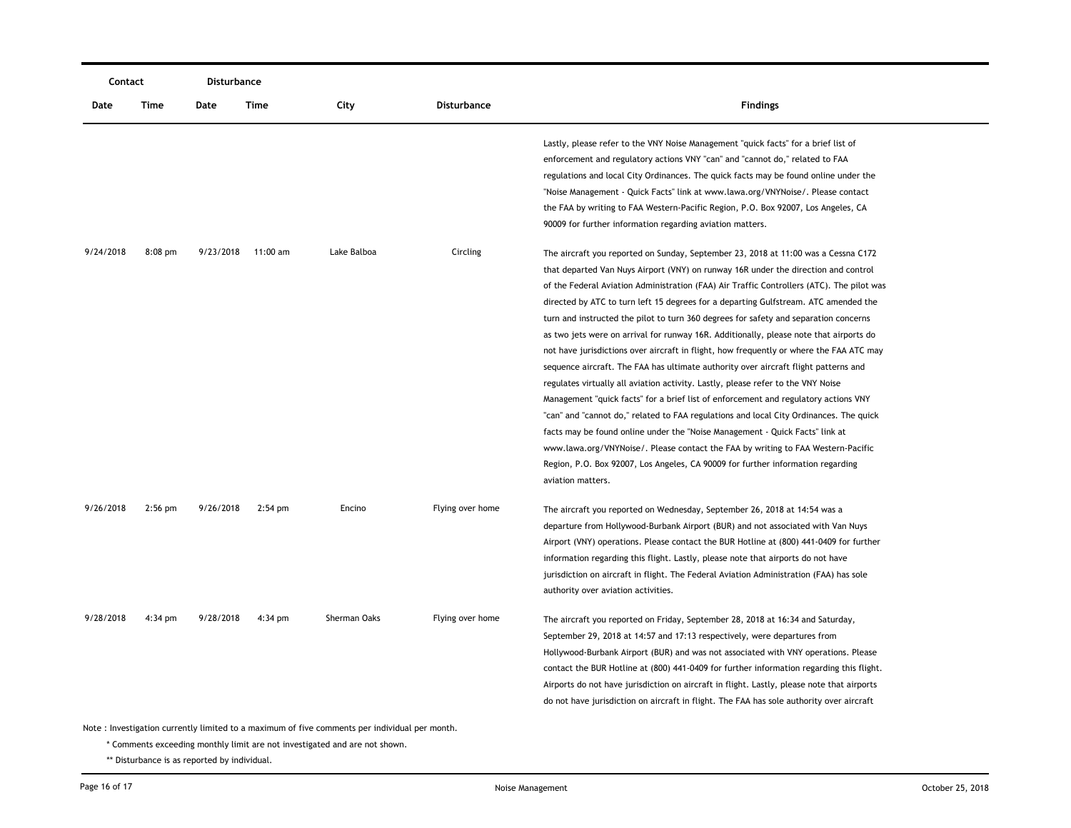| Contact   |                                                                                                | <b>Disturbance</b> |                    |              |                    |                                                                                                                                                                                                                                                                                                                                                                                                                                                                                                                                                                                                                                                                                                                                                                                                                                                                                                                                                                                                                                                                                                                                                                                                                                                                                   |  |  |  |
|-----------|------------------------------------------------------------------------------------------------|--------------------|--------------------|--------------|--------------------|-----------------------------------------------------------------------------------------------------------------------------------------------------------------------------------------------------------------------------------------------------------------------------------------------------------------------------------------------------------------------------------------------------------------------------------------------------------------------------------------------------------------------------------------------------------------------------------------------------------------------------------------------------------------------------------------------------------------------------------------------------------------------------------------------------------------------------------------------------------------------------------------------------------------------------------------------------------------------------------------------------------------------------------------------------------------------------------------------------------------------------------------------------------------------------------------------------------------------------------------------------------------------------------|--|--|--|
| Date      | Time                                                                                           | Date               | Time               | City         | <b>Disturbance</b> | <b>Findings</b>                                                                                                                                                                                                                                                                                                                                                                                                                                                                                                                                                                                                                                                                                                                                                                                                                                                                                                                                                                                                                                                                                                                                                                                                                                                                   |  |  |  |
|           |                                                                                                |                    |                    |              |                    | Lastly, please refer to the VNY Noise Management "quick facts" for a brief list of<br>enforcement and regulatory actions VNY "can" and "cannot do," related to FAA<br>regulations and local City Ordinances. The quick facts may be found online under the<br>"Noise Management - Quick Facts" link at www.lawa.org/VNYNoise/. Please contact<br>the FAA by writing to FAA Western-Pacific Region, P.O. Box 92007, Los Angeles, CA<br>90009 for further information regarding aviation matters.                                                                                                                                                                                                                                                                                                                                                                                                                                                                                                                                                                                                                                                                                                                                                                                   |  |  |  |
| 9/24/2018 | $8:08$ pm                                                                                      |                    | 9/23/2018 11:00 am | Lake Balboa  | Circling           | The aircraft you reported on Sunday, September 23, 2018 at 11:00 was a Cessna C172<br>that departed Van Nuys Airport (VNY) on runway 16R under the direction and control<br>of the Federal Aviation Administration (FAA) Air Traffic Controllers (ATC). The pilot was<br>directed by ATC to turn left 15 degrees for a departing Gulfstream. ATC amended the<br>turn and instructed the pilot to turn 360 degrees for safety and separation concerns<br>as two jets were on arrival for runway 16R. Additionally, please note that airports do<br>not have jurisdictions over aircraft in flight, how frequently or where the FAA ATC may<br>sequence aircraft. The FAA has ultimate authority over aircraft flight patterns and<br>regulates virtually all aviation activity. Lastly, please refer to the VNY Noise<br>Management "quick facts" for a brief list of enforcement and regulatory actions VNY<br>"can" and "cannot do," related to FAA regulations and local City Ordinances. The quick<br>facts may be found online under the "Noise Management - Quick Facts" link at<br>www.lawa.org/VNYNoise/. Please contact the FAA by writing to FAA Western-Pacific<br>Region, P.O. Box 92007, Los Angeles, CA 90009 for further information regarding<br>aviation matters. |  |  |  |
| 9/26/2018 | $2:56$ pm                                                                                      | 9/26/2018          | $2:54$ pm          | Encino       | Flying over home   | The aircraft you reported on Wednesday, September 26, 2018 at 14:54 was a<br>departure from Hollywood-Burbank Airport (BUR) and not associated with Van Nuys<br>Airport (VNY) operations. Please contact the BUR Hotline at (800) 441-0409 for further<br>information regarding this flight. Lastly, please note that airports do not have<br>jurisdiction on aircraft in flight. The Federal Aviation Administration (FAA) has sole<br>authority over aviation activities.                                                                                                                                                                                                                                                                                                                                                                                                                                                                                                                                                                                                                                                                                                                                                                                                       |  |  |  |
| 9/28/2018 | 4:34 pm                                                                                        | 9/28/2018          | $4:34$ pm          | Sherman Oaks | Flying over home   | The aircraft you reported on Friday, September 28, 2018 at 16:34 and Saturday,<br>September 29, 2018 at 14:57 and 17:13 respectively, were departures from<br>Hollywood-Burbank Airport (BUR) and was not associated with VNY operations. Please<br>contact the BUR Hotline at (800) 441-0409 for further information regarding this flight.<br>Airports do not have jurisdiction on aircraft in flight. Lastly, please note that airports<br>do not have jurisdiction on aircraft in flight. The FAA has sole authority over aircraft                                                                                                                                                                                                                                                                                                                                                                                                                                                                                                                                                                                                                                                                                                                                            |  |  |  |
|           | Note : Investigation currently limited to a maximum of five comments per individual per month. |                    |                    |              |                    |                                                                                                                                                                                                                                                                                                                                                                                                                                                                                                                                                                                                                                                                                                                                                                                                                                                                                                                                                                                                                                                                                                                                                                                                                                                                                   |  |  |  |

\* Comments exceeding monthly limit are not investigated and are not shown.